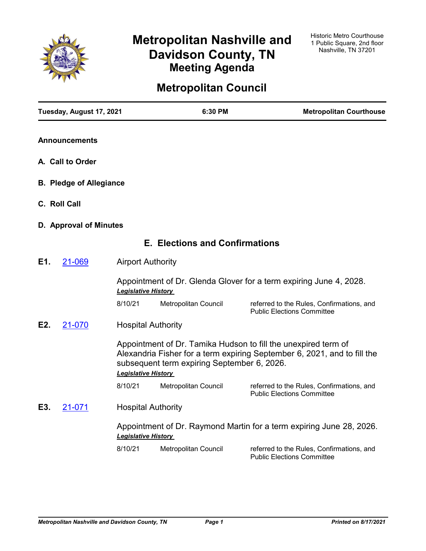

# **Metropolitan Nashville and Davidson County, TN Meeting Agenda**

## **Metropolitan Council**

| Tuesday, August 17, 2021       |                            | 6:30 PM                                     | <b>Metropolitan Courthouse</b>                                                                                                             |
|--------------------------------|----------------------------|---------------------------------------------|--------------------------------------------------------------------------------------------------------------------------------------------|
| <b>Announcements</b>           |                            |                                             |                                                                                                                                            |
| A. Call to Order               |                            |                                             |                                                                                                                                            |
| <b>B. Pledge of Allegiance</b> |                            |                                             |                                                                                                                                            |
| C. Roll Call                   |                            |                                             |                                                                                                                                            |
| D. Approval of Minutes         |                            |                                             |                                                                                                                                            |
|                                |                            | <b>E. Elections and Confirmations</b>       |                                                                                                                                            |
| E1.<br>21-069                  | <b>Airport Authority</b>   |                                             |                                                                                                                                            |
|                                | <b>Legislative History</b> |                                             | Appointment of Dr. Glenda Glover for a term expiring June 4, 2028.                                                                         |
|                                | 8/10/21                    | Metropolitan Council                        | referred to the Rules, Confirmations, and<br><b>Public Elections Committee</b>                                                             |
| E2.<br>21-070                  |                            | <b>Hospital Authority</b>                   |                                                                                                                                            |
|                                | <b>Legislative History</b> | subsequent term expiring September 6, 2026. | Appointment of Dr. Tamika Hudson to fill the unexpired term of<br>Alexandria Fisher for a term expiring September 6, 2021, and to fill the |
|                                | 8/10/21                    | Metropolitan Council                        | referred to the Rules, Confirmations, and<br><b>Public Elections Committee</b>                                                             |
| E3.<br>21-071                  | <b>Hospital Authority</b>  |                                             |                                                                                                                                            |
|                                | <b>Legislative History</b> |                                             | Appointment of Dr. Raymond Martin for a term expiring June 28, 2026.                                                                       |
|                                | 8/10/21                    | Metropolitan Council                        | referred to the Rules, Confirmations, and<br><b>Public Elections Committee</b>                                                             |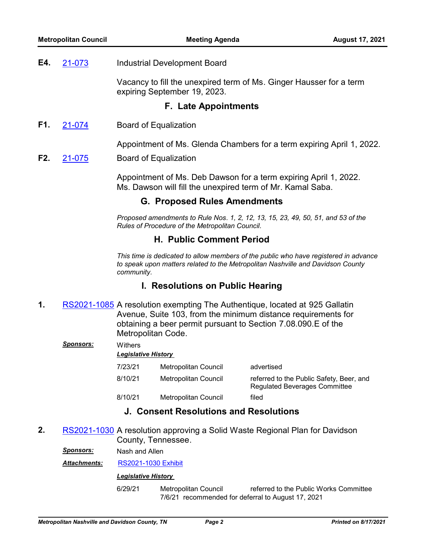#### Industrial Development Board **E4.** [21-073](http://nashville.legistar.com/gateway.aspx?m=l&id=/matter.aspx?key=13440)

Vacancy to fill the unexpired term of Ms. Ginger Hausser for a term expiring September 19, 2023.

## **F. Late Appointments**

Board of Equalization **F1.** [21-074](http://nashville.legistar.com/gateway.aspx?m=l&id=/matter.aspx?key=13475)

Appointment of Ms. Glenda Chambers for a term expiring April 1, 2022.

Board of Equalization **F2.** [21-075](http://nashville.legistar.com/gateway.aspx?m=l&id=/matter.aspx?key=13476)

> Appointment of Ms. Deb Dawson for a term expiring April 1, 2022. Ms. Dawson will fill the unexpired term of Mr. Kamal Saba.

## **G. Proposed Rules Amendments**

*Proposed amendments to Rule Nos. 1, 2, 12, 13, 15, 23, 49, 50, 51, and 53 of the Rules of Procedure of the Metropolitan Council.*

## **H. Public Comment Period**

*This time is dedicated to allow members of the public who have registered in advance to speak upon matters related to the Metropolitan Nashville and Davidson County community.*

## **I. Resolutions on Public Hearing**

1. [RS2021-1085](http://nashville.legistar.com/gateway.aspx?m=l&id=/matter.aspx?key=13441) A resolution exempting The Authentique, located at 925 Gallatin Avenue, Suite 103, from the minimum distance requirements for obtaining a beer permit pursuant to Section 7.08.090.E of the Metropolitan Code.

#### *Sponsors:* Withers

#### *Legislative History*

| 7/23/21 | Metropolitan Council | advertised                                                                       |
|---------|----------------------|----------------------------------------------------------------------------------|
| 8/10/21 | Metropolitan Council | referred to the Public Safety, Beer, and<br><b>Regulated Beverages Committee</b> |
| 8/10/21 | Metropolitan Council | filed                                                                            |

## **J. Consent Resolutions and Resolutions**

**2.** [RS2021-1030](http://nashville.legistar.com/gateway.aspx?m=l&id=/matter.aspx?key=13334) A resolution approving a Solid Waste Regional Plan for Davidson County, Tennessee.

*Sponsors:* Nash and Allen

*Attachments:* [RS2021-1030 Exhibit](http://nashville.legistar.com/gateway.aspx?M=F&ID=a98a84b2-11db-4adc-a865-ae5cdee85a30.PDF)

#### *Legislative History*

6/29/21 Metropolitan Council referred to the Public Works Committee 7/6/21 recommended for deferral to August 17, 2021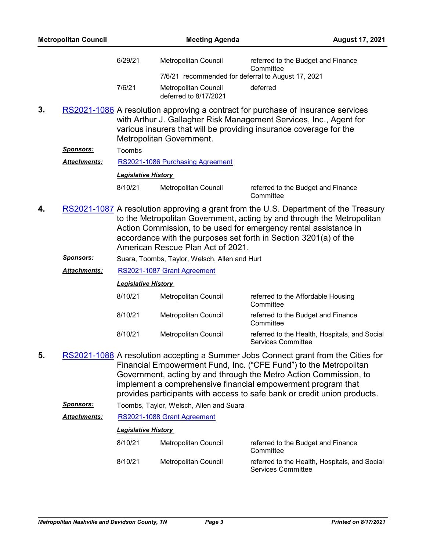|    | <b>Metropolitan Council</b> |                            | <b>Meeting Agenda</b>                                                                                                                                                                                                                                                                                                                                                    |                                                                            | <b>August 17, 2021</b> |
|----|-----------------------------|----------------------------|--------------------------------------------------------------------------------------------------------------------------------------------------------------------------------------------------------------------------------------------------------------------------------------------------------------------------------------------------------------------------|----------------------------------------------------------------------------|------------------------|
|    |                             | 6/29/21                    | Metropolitan Council                                                                                                                                                                                                                                                                                                                                                     | referred to the Budget and Finance<br>Committee                            |                        |
|    |                             |                            | 7/6/21 recommended for deferral to August 17, 2021                                                                                                                                                                                                                                                                                                                       |                                                                            |                        |
|    |                             | 7/6/21                     | Metropolitan Council<br>deferred to 8/17/2021                                                                                                                                                                                                                                                                                                                            | deferred                                                                   |                        |
| 3. |                             |                            | RS2021-1086 A resolution approving a contract for purchase of insurance services<br>with Arthur J. Gallagher Risk Management Services, Inc., Agent for<br>various insurers that will be providing insurance coverage for the<br>Metropolitan Government.                                                                                                                 |                                                                            |                        |
|    | <u>Sponsors:</u>            | Toombs                     |                                                                                                                                                                                                                                                                                                                                                                          |                                                                            |                        |
|    | <b>Attachments:</b>         |                            | RS2021-1086 Purchasing Agreement                                                                                                                                                                                                                                                                                                                                         |                                                                            |                        |
|    |                             | <b>Legislative History</b> |                                                                                                                                                                                                                                                                                                                                                                          |                                                                            |                        |
|    |                             | 8/10/21                    | Metropolitan Council                                                                                                                                                                                                                                                                                                                                                     | referred to the Budget and Finance<br>Committee                            |                        |
| 4. |                             |                            | RS2021-1087 A resolution approving a grant from the U.S. Department of the Treasury<br>to the Metropolitan Government, acting by and through the Metropolitan<br>Action Commission, to be used for emergency rental assistance in<br>accordance with the purposes set forth in Section 3201(a) of the<br>American Rescue Plan Act of 2021.                               |                                                                            |                        |
|    | <u>Sponsors:</u>            |                            | Suara, Toombs, Taylor, Welsch, Allen and Hurt                                                                                                                                                                                                                                                                                                                            |                                                                            |                        |
|    | <u> Attachments:</u>        |                            | RS2021-1087 Grant Agreement                                                                                                                                                                                                                                                                                                                                              |                                                                            |                        |
|    |                             | <b>Legislative History</b> |                                                                                                                                                                                                                                                                                                                                                                          |                                                                            |                        |
|    |                             | 8/10/21                    | Metropolitan Council                                                                                                                                                                                                                                                                                                                                                     | referred to the Affordable Housing<br>Committee                            |                        |
|    |                             | 8/10/21                    | <b>Metropolitan Council</b>                                                                                                                                                                                                                                                                                                                                              | referred to the Budget and Finance<br>Committee                            |                        |
|    |                             | 8/10/21                    | Metropolitan Council                                                                                                                                                                                                                                                                                                                                                     | referred to the Health, Hospitals, and Social<br><b>Services Committee</b> |                        |
| 5. |                             |                            | RS2021-1088 A resolution accepting a Summer Jobs Connect grant from the Cities for<br>Financial Empowerment Fund, Inc. ("CFE Fund") to the Metropolitan<br>Government, acting by and through the Metro Action Commission, to<br>implement a comprehensive financial empowerment program that<br>provides participants with access to safe bank or credit union products. |                                                                            |                        |
|    | <u>Sponsors:</u>            |                            | Toombs, Taylor, Welsch, Allen and Suara                                                                                                                                                                                                                                                                                                                                  |                                                                            |                        |
|    | <u> Attachments:</u>        |                            | RS2021-1088 Grant Agreement                                                                                                                                                                                                                                                                                                                                              |                                                                            |                        |
|    |                             | <b>Legislative History</b> |                                                                                                                                                                                                                                                                                                                                                                          |                                                                            |                        |
|    |                             | 8/10/21                    | Metropolitan Council                                                                                                                                                                                                                                                                                                                                                     | referred to the Budget and Finance<br>Committee                            |                        |
|    |                             | 8/10/21                    | Metropolitan Council                                                                                                                                                                                                                                                                                                                                                     | referred to the Health, Hospitals, and Social<br><b>Services Committee</b> |                        |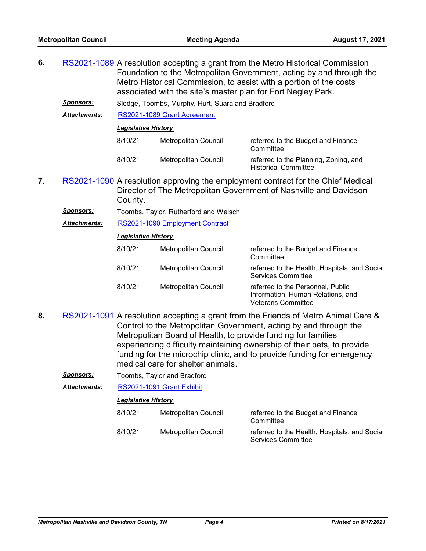- **6.** [RS2021-1089](http://nashville.legistar.com/gateway.aspx?m=l&id=/matter.aspx?key=13460) A resolution accepting a grant from the Metro Historical Commission Foundation to the Metropolitan Government, acting by and through the Metro Historical Commission, to assist with a portion of the costs associated with the site's master plan for Fort Negley Park.
	- *Sponsors:* Sledge, Toombs, Murphy, Hurt, Suara and Bradford

*Attachments:* [RS2021-1089 Grant Agreement](http://nashville.legistar.com/gateway.aspx?M=F&ID=f7f80d54-dff6-4422-9209-f8daf521ca36.pdf)

#### *Legislative History*

| 8/10/21 | Metropolitan Council | referred to the Budget and Finance<br>Committee                      |
|---------|----------------------|----------------------------------------------------------------------|
| 8/10/21 | Metropolitan Council | referred to the Planning, Zoning, and<br><b>Historical Committee</b> |

7. [RS2021-1090](http://nashville.legistar.com/gateway.aspx?m=l&id=/matter.aspx?key=13459) A resolution approving the employment contract for the Chief Medical Director of The Metropolitan Government of Nashville and Davidson County.

| Sponsors: |  | Toombs, Taylor, Rutherford and Welsch |  |  |
|-----------|--|---------------------------------------|--|--|
|-----------|--|---------------------------------------|--|--|

| Attachments: | RS2021-1090 Employment Contract |  |  |
|--------------|---------------------------------|--|--|
|              |                                 |  |  |

#### *Legislative History*

| 8/10/21 | Metropolitan Council | referred to the Budget and Finance<br>Committee                                                     |
|---------|----------------------|-----------------------------------------------------------------------------------------------------|
| 8/10/21 | Metropolitan Council | referred to the Health, Hospitals, and Social<br><b>Services Committee</b>                          |
| 8/10/21 | Metropolitan Council | referred to the Personnel, Public<br>Information, Human Relations, and<br><b>Veterans Committee</b> |

- 8. [RS2021-1091](http://nashville.legistar.com/gateway.aspx?m=l&id=/matter.aspx?key=13462) A resolution accepting a grant from the Friends of Metro Animal Care & Control to the Metropolitan Government, acting by and through the Metropolitan Board of Health, to provide funding for families experiencing difficulty maintaining ownership of their pets, to provide funding for the microchip clinic, and to provide funding for emergency medical care for shelter animals.
	- *Sponsors:* Toombs, Taylor and Bradford

*Attachments:* [RS2021-1091 Grant Exhibit](http://nashville.legistar.com/gateway.aspx?M=F&ID=7248bc6f-207e-439c-8224-6011f9bffada.pdf)

| 8/10/21 | Metropolitan Council | referred to the Budget and Finance<br>Committee                            |
|---------|----------------------|----------------------------------------------------------------------------|
| 8/10/21 | Metropolitan Council | referred to the Health, Hospitals, and Social<br><b>Services Committee</b> |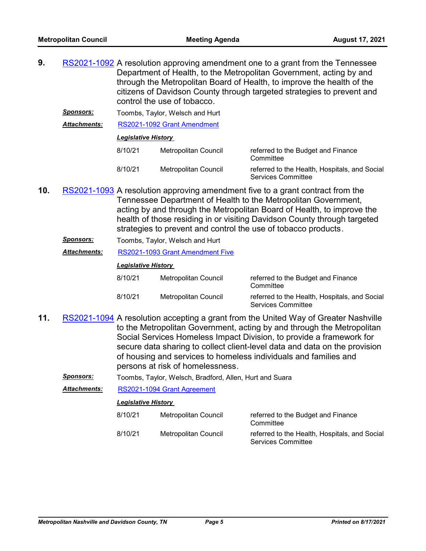**9. A FULL RES**2021-1092 A resolution approving amendment one to a grant from the Tennessee Department of Health, to the Metropolitan Government, acting by and through the Metropolitan Board of Health, to improve the health of the citizens of Davidson County through targeted strategies to prevent and control the use of tobacco.

**Sponsors:** Toombs, Taylor, Welsch and Hurt

*Attachments:* [RS2021-1092 Grant Amendment](http://nashville.legistar.com/gateway.aspx?M=F&ID=94af8087-cf11-46de-a189-e6bf123964fa.pdf)

#### *Legislative History*

| 8/10/21 | Metropolitan Council | referred to the Budget and Finance<br>Committee                            |
|---------|----------------------|----------------------------------------------------------------------------|
| 8/10/21 | Metropolitan Council | referred to the Health, Hospitals, and Social<br><b>Services Committee</b> |

- 10. [RS2021-1093](http://nashville.legistar.com/gateway.aspx?m=l&id=/matter.aspx?key=13452) A resolution approving amendment five to a grant contract from the Tennessee Department of Health to the Metropolitan Government, acting by and through the Metropolitan Board of Health, to improve the health of those residing in or visiting Davidson County through targeted strategies to prevent and control the use of tobacco products.
	- *Sponsors:* Toombs, Taylor, Welsch and Hurt
	- *Attachments:* [RS2021-1093 Grant Amendment Five](http://nashville.legistar.com/gateway.aspx?M=F&ID=80671396-5967-4f28-b183-24928b1e3cb6.pdf)

#### *Legislative History*

| 8/10/21 | Metropolitan Council | referred to the Budget and Finance<br>Committee                     |
|---------|----------------------|---------------------------------------------------------------------|
| 8/10/21 | Metropolitan Council | referred to the Health, Hospitals, and Social<br>Services Committee |

- 11. [RS2021-1094](http://nashville.legistar.com/gateway.aspx?m=l&id=/matter.aspx?key=13461) A resolution accepting a grant from the United Way of Greater Nashville to the Metropolitan Government, acting by and through the Metropolitan Social Services Homeless Impact Division, to provide a framework for secure data sharing to collect client-level data and data on the provision of housing and services to homeless individuals and families and persons at risk of homelessness.
	- *Sponsors:* Toombs, Taylor, Welsch, Bradford, Allen, Hurt and Suara

*Attachments:* [RS2021-1094 Grant Agreement](http://nashville.legistar.com/gateway.aspx?M=F&ID=bc304c37-501c-452c-b999-29757e310b33.pdf)

| 8/10/21 | Metropolitan Council | referred to the Budget and Finance<br>Committee                            |
|---------|----------------------|----------------------------------------------------------------------------|
| 8/10/21 | Metropolitan Council | referred to the Health, Hospitals, and Social<br><b>Services Committee</b> |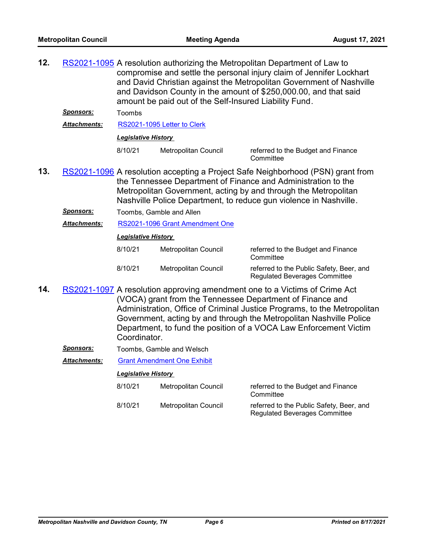12. [RS2021-1095](http://nashville.legistar.com/gateway.aspx?m=l&id=/matter.aspx?key=13450) A resolution authorizing the Metropolitan Department of Law to compromise and settle the personal injury claim of Jennifer Lockhart and David Christian against the Metropolitan Government of Nashville and Davidson County in the amount of \$250,000.00, and that said amount be paid out of the Self-Insured Liability Fund.

*Sponsors:* Toombs

*Attachments:* [RS2021-1095 Letter to Clerk](http://nashville.legistar.com/gateway.aspx?M=F&ID=52ce2a68-75c2-469e-aa1f-33f252cbf575.PDF)

*Legislative History* 

8/10/21 Metropolitan Council referred to the Budget and Finance

**Committee** 

- 13. [RS2021-1096](http://nashville.legistar.com/gateway.aspx?m=l&id=/matter.aspx?key=13463) A resolution accepting a Project Safe Neighborhood (PSN) grant from the Tennessee Department of Finance and Administration to the Metropolitan Government, acting by and through the Metropolitan Nashville Police Department, to reduce gun violence in Nashville.
	- **Sponsors:** Toombs, Gamble and Allen

*Attachments:* [RS2021-1096 Grant Amendment One](http://nashville.legistar.com/gateway.aspx?M=F&ID=7be04e3e-8375-4983-8d27-0e2ad02b5221.pdf)

#### *Legislative History*

| 8/10/21 | Metropolitan Council | referred to the Budget and Finance<br>Committee                                  |
|---------|----------------------|----------------------------------------------------------------------------------|
| 8/10/21 | Metropolitan Council | referred to the Public Safety, Beer, and<br><b>Regulated Beverages Committee</b> |

- 14. [RS2021-1097](http://nashville.legistar.com/gateway.aspx?m=l&id=/matter.aspx?key=13454) A resolution approving amendment one to a Victims of Crime Act (VOCA) grant from the Tennessee Department of Finance and Administration, Office of Criminal Justice Programs, to the Metropolitan Government, acting by and through the Metropolitan Nashville Police Department, to fund the position of a VOCA Law Enforcement Victim Coordinator.
	- **Sponsors:** Toombs, Gamble and Welsch

*Attachments:* [Grant Amendment One Exhibit](http://nashville.legistar.com/gateway.aspx?M=F&ID=4394831f-2432-4f5a-b3cb-66d7832ff374.pdf)

| 8/10/21 | Metropolitan Council | referred to the Budget and Finance<br>Committee                                  |
|---------|----------------------|----------------------------------------------------------------------------------|
| 8/10/21 | Metropolitan Council | referred to the Public Safety, Beer, and<br><b>Regulated Beverages Committee</b> |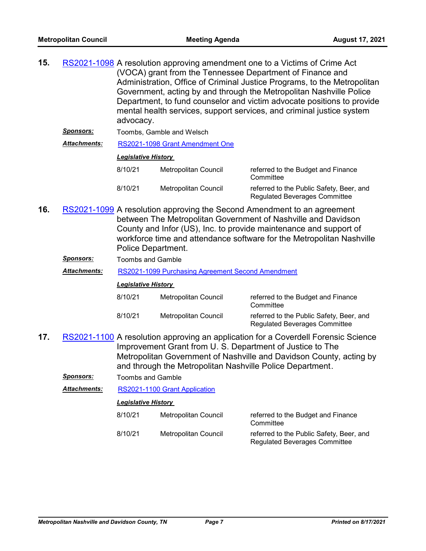| 15. |                  | RS2021-1098 A resolution approving amendment one to a Victims of Crime Act                                                                                   |
|-----|------------------|--------------------------------------------------------------------------------------------------------------------------------------------------------------|
|     |                  | (VOCA) grant from the Tennessee Department of Finance and                                                                                                    |
|     |                  | Administration, Office of Criminal Justice Programs, to the Metropolitan                                                                                     |
|     |                  | Government, acting by and through the Metropolitan Nashville Police                                                                                          |
|     |                  | Department, to fund counselor and victim advocate positions to provide<br>mental health services, support services, and criminal justice system<br>advocacy. |
|     | <b>Sponsors:</b> | Toombs, Gamble and Welsch                                                                                                                                    |

*Attachments:* [RS2021-1098 Grant Amendment One](http://nashville.legistar.com/gateway.aspx?M=F&ID=461aa91a-d7ec-4cbb-8c45-6cf0fc0176ce.pdf)

#### *Legislative History*

| 8/10/21 | Metropolitan Council | referred to the Budget and Finance<br>Committee                                  |
|---------|----------------------|----------------------------------------------------------------------------------|
| 8/10/21 | Metropolitan Council | referred to the Public Safety, Beer, and<br><b>Regulated Beverages Committee</b> |

- 16. [RS2021-1099](http://nashville.legistar.com/gateway.aspx?m=l&id=/matter.aspx?key=13465) A resolution approving the Second Amendment to an agreement between The Metropolitan Government of Nashville and Davidson County and Infor (US), Inc. to provide maintenance and support of workforce time and attendance software for the Metropolitan Nashville Police Department.
	- *Sponsors:* Toombs and Gamble

*Attachments:* [RS2021-1099 Purchasing Agreement Second Amendment](http://nashville.legistar.com/gateway.aspx?M=F&ID=d7450261-6b87-4fb4-8fe1-14ff4ffb7604.pdf)

#### *Legislative History*

| 8/10/21 | Metropolitan Council | referred to the Budget and Finance<br>Committee                                  |
|---------|----------------------|----------------------------------------------------------------------------------|
| 8/10/21 | Metropolitan Council | referred to the Public Safety, Beer, and<br><b>Regulated Beverages Committee</b> |

17. [RS2021-1100](http://nashville.legistar.com/gateway.aspx?m=l&id=/matter.aspx?key=13444) A resolution approving an application for a Coverdell Forensic Science Improvement Grant from U. S. Department of Justice to The Metropolitan Government of Nashville and Davidson County, acting by and through the Metropolitan Nashville Police Department.

*Sponsors:* Toombs and Gamble

*Attachments:* [RS2021-1100 Grant Application](http://nashville.legistar.com/gateway.aspx?M=F&ID=6f0c5395-e2af-48f9-803b-ba767012eb61.pdf)

| 8/10/21 | Metropolitan Council | referred to the Budget and Finance<br>Committee                                  |
|---------|----------------------|----------------------------------------------------------------------------------|
| 8/10/21 | Metropolitan Council | referred to the Public Safety, Beer, and<br><b>Regulated Beverages Committee</b> |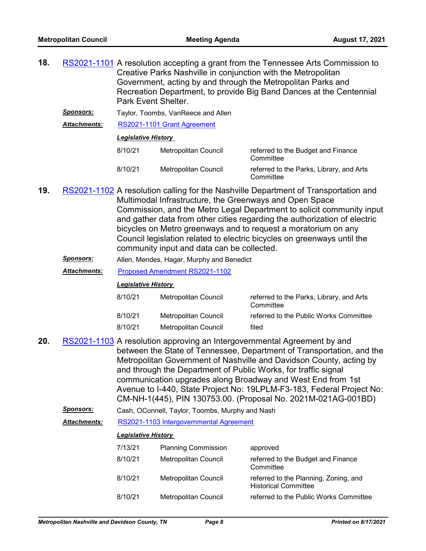| 18.                                                                                                          |                            | RS2021-1101 A resolution accepting a grant from the Tennessee Arts Commission to<br>Creative Parks Nashville in conjunction with the Metropolitan<br>Government, acting by and through the Metropolitan Parks and<br>Recreation Department, to provide Big Band Dances at the Centennial<br>Park Event Shelter. |                      |                                                       |
|--------------------------------------------------------------------------------------------------------------|----------------------------|-----------------------------------------------------------------------------------------------------------------------------------------------------------------------------------------------------------------------------------------------------------------------------------------------------------------|----------------------|-------------------------------------------------------|
| <b>Sponsors:</b><br>Taylor, Toombs, VanReece and Allen<br>RS2021-1101 Grant Agreement<br><b>Attachments:</b> |                            |                                                                                                                                                                                                                                                                                                                 |                      |                                                       |
|                                                                                                              |                            |                                                                                                                                                                                                                                                                                                                 |                      |                                                       |
|                                                                                                              | <b>Legislative History</b> |                                                                                                                                                                                                                                                                                                                 |                      |                                                       |
|                                                                                                              |                            | 8/10/21                                                                                                                                                                                                                                                                                                         | Metropolitan Council | referred to the Budget and Finance<br>Committee       |
|                                                                                                              |                            | 8/10/21                                                                                                                                                                                                                                                                                                         | Metropolitan Council | referred to the Parks, Library, and Arts<br>Committee |

- 19. [RS2021-1102](http://nashville.legistar.com/gateway.aspx?m=l&id=/matter.aspx?key=13470) A resolution calling for the Nashville Department of Transportation and Multimodal Infrastructure, the Greenways and Open Space Commission, and the Metro Legal Department to solicit community input and gather data from other cities regarding the authorization of electric bicycles on Metro greenways and to request a moratorium on any Council legislation related to electric bicycles on greenways until the community input and data can be collected.
	- *Sponsors:* Allen, Mendes, Hagar, Murphy and Benedict
	- *Attachments:* [Proposed Amendment RS2021-1102](http://nashville.legistar.com/gateway.aspx?M=F&ID=14c6e144-d3c4-4a03-a0a3-0fba811260a6.docx)

#### *Legislative History*

| 8/10/21 | Metropolitan Council | referred to the Parks, Library, and Arts<br>Committee |
|---------|----------------------|-------------------------------------------------------|
| 8/10/21 | Metropolitan Council | referred to the Public Works Committee                |
| 8/10/21 | Metropolitan Council | filed                                                 |

- 20. [RS2021-1103](http://nashville.legistar.com/gateway.aspx?m=l&id=/matter.aspx?key=13443) A resolution approving an Intergovernmental Agreement by and between the State of Tennessee, Department of Transportation, and the Metropolitan Government of Nashville and Davidson County, acting by and through the Department of Public Works, for traffic signal communication upgrades along Broadway and West End from 1st Avenue to I-440, State Project No: 19LPLM-F3-183, Federal Project No: CM-NH-1(445), PIN 130753.00. (Proposal No. 2021M-021AG-001BD)
	- *Sponsors:* Cash, OConnell, Taylor, Toombs, Murphy and Nash

#### *Attachments:* [RS2021-1103 Intergovernmental Agreement](http://nashville.legistar.com/gateway.aspx?M=F&ID=615e6977-a6cd-4131-a919-55881c9a336a.pdf)

| 7/13/21 | <b>Planning Commission</b>  | approved                                                             |
|---------|-----------------------------|----------------------------------------------------------------------|
| 8/10/21 | Metropolitan Council        | referred to the Budget and Finance<br>Committee                      |
| 8/10/21 | Metropolitan Council        | referred to the Planning, Zoning, and<br><b>Historical Committee</b> |
| 8/10/21 | <b>Metropolitan Council</b> | referred to the Public Works Committee                               |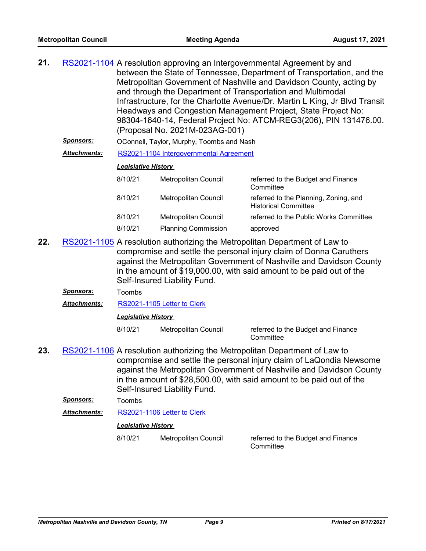| 21. |                 | RS2021-1104 A resolution approving an Intergovernmental Agreement by and                                                               |
|-----|-----------------|----------------------------------------------------------------------------------------------------------------------------------------|
|     |                 | between the State of Tennessee, Department of Transportation, and the                                                                  |
|     |                 | Metropolitan Government of Nashville and Davidson County, acting by                                                                    |
|     |                 | and through the Department of Transportation and Multimodal                                                                            |
|     |                 | Infrastructure, for the Charlotte Avenue/Dr. Martin L King, Jr Blvd Transit                                                            |
|     |                 | Headways and Congestion Management Project, State Project No:                                                                          |
|     |                 | 98304-1640-14, Federal Project No: ATCM-REG3(206), PIN 131476.00.                                                                      |
|     |                 | (Proposal No. 2021M-023AG-001)                                                                                                         |
|     | <b>Concorc'</b> | $\overline{OA}$ . The $\overline{T}$ and $\overline{BA}$ and $\overline{T}$ and $\overline{A}$ and $\overline{AB}$ and $\overline{AB}$ |

- *Sponsors:* OConnell, Taylor, Murphy, Toombs and Nash
- *Attachments:* [RS2021-1104 Intergovernmental Agreement](http://nashville.legistar.com/gateway.aspx?M=F&ID=f90146ee-b907-47f1-99c0-d6afdfd2e6eb.pdf)

#### *Legislative History*

| 8/10/21 | <b>Metropolitan Council</b> | referred to the Budget and Finance<br>Committee                      |
|---------|-----------------------------|----------------------------------------------------------------------|
| 8/10/21 | <b>Metropolitan Council</b> | referred to the Planning, Zoning, and<br><b>Historical Committee</b> |
| 8/10/21 | Metropolitan Council        | referred to the Public Works Committee                               |
| 8/10/21 | <b>Planning Commission</b>  | approved                                                             |

- 22. [RS2021-1105](http://nashville.legistar.com/gateway.aspx?m=l&id=/matter.aspx?key=13446) A resolution authorizing the Metropolitan Department of Law to compromise and settle the personal injury claim of Donna Caruthers against the Metropolitan Government of Nashville and Davidson County in the amount of \$19,000.00, with said amount to be paid out of the Self-Insured Liability Fund.
	- *Sponsors:* Toombs
	- *Attachments:* [RS2021-1105 Letter to Clerk](http://nashville.legistar.com/gateway.aspx?M=F&ID=f4d0760d-6c6c-4daf-8e9b-13b376e6e208.PDF)

#### *Legislative History*

8/10/21 Metropolitan Council referred to the Budget and Finance **Committee** 

**23.** [RS2021-1106](http://nashville.legistar.com/gateway.aspx?m=l&id=/matter.aspx?key=13449) A resolution authorizing the Metropolitan Department of Law to compromise and settle the personal injury claim of LaQondia Newsome against the Metropolitan Government of Nashville and Davidson County in the amount of \$28,500.00, with said amount to be paid out of the Self-Insured Liability Fund.

*Sponsors:* Toombs

*Attachments:* [RS2021-1106 Letter to Clerk](http://nashville.legistar.com/gateway.aspx?M=F&ID=7b8e8c83-acd0-4ea9-8fbd-60d9ff327e78.PDF)

#### *Legislative History*

8/10/21 Metropolitan Council referred to the Budget and Finance

**Committee**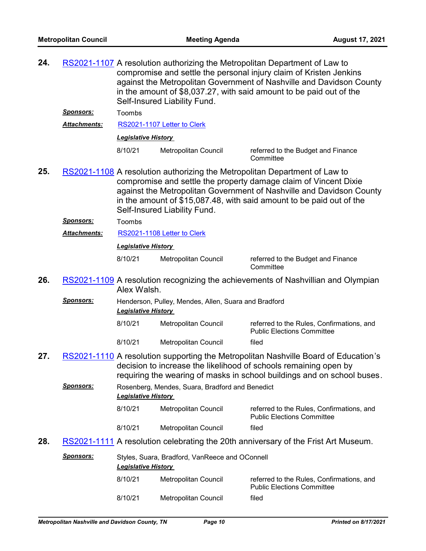| 24. |                     | RS2021-1107 A resolution authorizing the Metropolitan Department of Law to<br>compromise and settle the personal injury claim of Kristen Jenkins<br>against the Metropolitan Government of Nashville and Davidson County<br>in the amount of \$8,037.27, with said amount to be paid out of the<br>Self-Insured Liability Fund. |                                                 |                                                                                                                                                                                                                                    |  |  |
|-----|---------------------|---------------------------------------------------------------------------------------------------------------------------------------------------------------------------------------------------------------------------------------------------------------------------------------------------------------------------------|-------------------------------------------------|------------------------------------------------------------------------------------------------------------------------------------------------------------------------------------------------------------------------------------|--|--|
|     | <u>Sponsors:</u>    | Toombs                                                                                                                                                                                                                                                                                                                          |                                                 |                                                                                                                                                                                                                                    |  |  |
|     | <b>Attachments:</b> |                                                                                                                                                                                                                                                                                                                                 | RS2021-1107 Letter to Clerk                     |                                                                                                                                                                                                                                    |  |  |
|     |                     | <b>Legislative History</b>                                                                                                                                                                                                                                                                                                      |                                                 |                                                                                                                                                                                                                                    |  |  |
|     |                     | 8/10/21                                                                                                                                                                                                                                                                                                                         | Metropolitan Council                            | referred to the Budget and Finance<br>Committee                                                                                                                                                                                    |  |  |
| 25. |                     | RS2021-1108 A resolution authorizing the Metropolitan Department of Law to<br>compromise and settle the property damage claim of Vincent Dixie<br>against the Metropolitan Government of Nashville and Davidson County<br>in the amount of \$15,087.48, with said amount to be paid out of the<br>Self-Insured Liability Fund.  |                                                 |                                                                                                                                                                                                                                    |  |  |
|     | <u>Sponsors:</u>    | Toombs                                                                                                                                                                                                                                                                                                                          |                                                 |                                                                                                                                                                                                                                    |  |  |
|     | <b>Attachments:</b> |                                                                                                                                                                                                                                                                                                                                 | RS2021-1108 Letter to Clerk                     |                                                                                                                                                                                                                                    |  |  |
|     |                     | <b>Legislative History</b>                                                                                                                                                                                                                                                                                                      |                                                 |                                                                                                                                                                                                                                    |  |  |
|     |                     | 8/10/21                                                                                                                                                                                                                                                                                                                         | Metropolitan Council                            | referred to the Budget and Finance<br>Committee                                                                                                                                                                                    |  |  |
| 26. |                     | Alex Walsh.                                                                                                                                                                                                                                                                                                                     |                                                 | RS2021-1109 A resolution recognizing the achievements of Nashvillian and Olympian                                                                                                                                                  |  |  |
|     | Sponsors:           | Henderson, Pulley, Mendes, Allen, Suara and Bradford<br><b>Legislative History</b>                                                                                                                                                                                                                                              |                                                 |                                                                                                                                                                                                                                    |  |  |
|     |                     | 8/10/21                                                                                                                                                                                                                                                                                                                         | Metropolitan Council                            | referred to the Rules, Confirmations, and<br><b>Public Elections Committee</b>                                                                                                                                                     |  |  |
|     |                     | 8/10/21                                                                                                                                                                                                                                                                                                                         | Metropolitan Council                            | filed                                                                                                                                                                                                                              |  |  |
| 27. |                     |                                                                                                                                                                                                                                                                                                                                 |                                                 | RS2021-1110 A resolution supporting the Metropolitan Nashville Board of Education's<br>decision to increase the likelihood of schools remaining open by<br>requiring the wearing of masks in school buildings and on school buses. |  |  |
|     | <u> Sponsors:</u>   | <b>Legislative History</b>                                                                                                                                                                                                                                                                                                      | Rosenberg, Mendes, Suara, Bradford and Benedict |                                                                                                                                                                                                                                    |  |  |
|     |                     | 8/10/21                                                                                                                                                                                                                                                                                                                         | Metropolitan Council                            | referred to the Rules, Confirmations, and<br><b>Public Elections Committee</b>                                                                                                                                                     |  |  |
|     |                     | 8/10/21                                                                                                                                                                                                                                                                                                                         | Metropolitan Council                            | filed                                                                                                                                                                                                                              |  |  |
| 28. |                     |                                                                                                                                                                                                                                                                                                                                 |                                                 | RS2021-1111 A resolution celebrating the 20th anniversary of the Frist Art Museum.                                                                                                                                                 |  |  |
|     | Sponsors:           | <b>Legislative History</b>                                                                                                                                                                                                                                                                                                      | Styles, Suara, Bradford, VanReece and OConnell  |                                                                                                                                                                                                                                    |  |  |
|     |                     | 8/10/21                                                                                                                                                                                                                                                                                                                         | Metropolitan Council                            | referred to the Rules, Confirmations, and<br><b>Public Elections Committee</b>                                                                                                                                                     |  |  |
|     |                     | 8/10/21                                                                                                                                                                                                                                                                                                                         | Metropolitan Council                            | filed                                                                                                                                                                                                                              |  |  |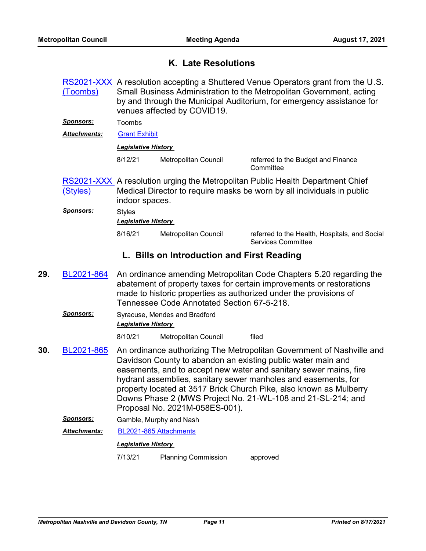## **K. Late Resolutions**

|     | (Toombs)            | RS2021-XXX A resolution accepting a Shuttered Venue Operators grant from the U.S.<br>Small Business Administration to the Metropolitan Government, acting<br>by and through the Municipal Auditorium, for emergency assistance for<br>venues affected by COVID19. |                                            |                                                                                                                                                                                                                                                                                                                                                                                                                   |  |  |
|-----|---------------------|-------------------------------------------------------------------------------------------------------------------------------------------------------------------------------------------------------------------------------------------------------------------|--------------------------------------------|-------------------------------------------------------------------------------------------------------------------------------------------------------------------------------------------------------------------------------------------------------------------------------------------------------------------------------------------------------------------------------------------------------------------|--|--|
|     | <u>Sponsors:</u>    | Toombs                                                                                                                                                                                                                                                            |                                            |                                                                                                                                                                                                                                                                                                                                                                                                                   |  |  |
|     | <b>Attachments:</b> |                                                                                                                                                                                                                                                                   | <b>Grant Exhibit</b>                       |                                                                                                                                                                                                                                                                                                                                                                                                                   |  |  |
|     |                     | <b>Legislative History</b>                                                                                                                                                                                                                                        |                                            |                                                                                                                                                                                                                                                                                                                                                                                                                   |  |  |
|     |                     | 8/12/21                                                                                                                                                                                                                                                           | Metropolitan Council                       | referred to the Budget and Finance<br>Committee                                                                                                                                                                                                                                                                                                                                                                   |  |  |
|     | (Styles)            | <b>RS2021-XXX</b> A resolution urging the Metropolitan Public Health Department Chief<br>Medical Director to require masks be worn by all individuals in public<br>indoor spaces.                                                                                 |                                            |                                                                                                                                                                                                                                                                                                                                                                                                                   |  |  |
|     | Sponsors:           | <b>Styles</b><br><b>Legislative History</b>                                                                                                                                                                                                                       |                                            |                                                                                                                                                                                                                                                                                                                                                                                                                   |  |  |
|     |                     | 8/16/21                                                                                                                                                                                                                                                           | Metropolitan Council                       | referred to the Health, Hospitals, and Social<br><b>Services Committee</b>                                                                                                                                                                                                                                                                                                                                        |  |  |
|     |                     |                                                                                                                                                                                                                                                                   | L. Bills on Introduction and First Reading |                                                                                                                                                                                                                                                                                                                                                                                                                   |  |  |
| 29. | BL2021-864          |                                                                                                                                                                                                                                                                   | Tennessee Code Annotated Section 67-5-218. | An ordinance amending Metropolitan Code Chapters 5.20 regarding the<br>abatement of property taxes for certain improvements or restorations<br>made to historic properties as authorized under the provisions of                                                                                                                                                                                                  |  |  |
|     | <u>Sponsors:</u>    | Syracuse, Mendes and Bradford<br><b>Legislative History</b>                                                                                                                                                                                                       |                                            |                                                                                                                                                                                                                                                                                                                                                                                                                   |  |  |
|     |                     | 8/10/21                                                                                                                                                                                                                                                           | Metropolitan Council                       | filed                                                                                                                                                                                                                                                                                                                                                                                                             |  |  |
| 30. | BL2021-865          |                                                                                                                                                                                                                                                                   | Proposal No. 2021M-058ES-001).             | An ordinance authorizing The Metropolitan Government of Nashville and<br>Davidson County to abandon an existing public water main and<br>easements, and to accept new water and sanitary sewer mains, fire<br>hydrant assemblies, sanitary sewer manholes and easements, for<br>property located at 3517 Brick Church Pike, also known as Mulberry<br>Downs Phase 2 (MWS Project No. 21-WL-108 and 21-SL-214; and |  |  |
|     | Sponsors:           |                                                                                                                                                                                                                                                                   | Gamble, Murphy and Nash                    |                                                                                                                                                                                                                                                                                                                                                                                                                   |  |  |
|     | <b>Attachments:</b> | BL2021-865 Attachments                                                                                                                                                                                                                                            |                                            |                                                                                                                                                                                                                                                                                                                                                                                                                   |  |  |
|     |                     | <b>Legislative History</b>                                                                                                                                                                                                                                        |                                            |                                                                                                                                                                                                                                                                                                                                                                                                                   |  |  |
|     |                     | 7/13/21                                                                                                                                                                                                                                                           | <b>Planning Commission</b>                 | approved                                                                                                                                                                                                                                                                                                                                                                                                          |  |  |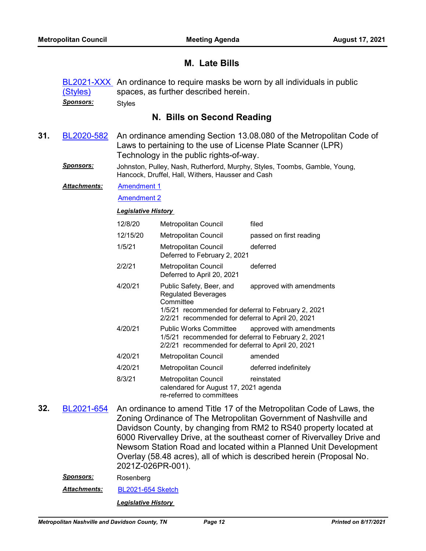## **M. Late Bills**

|     | (Styles)<br><u>Sponsors:</u> | <b>BL2021-XXX</b> An ordinance to require masks be worn by all individuals in public<br>spaces, as further described herein.<br><b>Styles</b>                                  |                                                                                                                                                                                                             |                                                                                                                                                                                                                                                                                                                                                                |  |
|-----|------------------------------|--------------------------------------------------------------------------------------------------------------------------------------------------------------------------------|-------------------------------------------------------------------------------------------------------------------------------------------------------------------------------------------------------------|----------------------------------------------------------------------------------------------------------------------------------------------------------------------------------------------------------------------------------------------------------------------------------------------------------------------------------------------------------------|--|
|     |                              |                                                                                                                                                                                | N. Bills on Second Reading                                                                                                                                                                                  |                                                                                                                                                                                                                                                                                                                                                                |  |
| 31. | BL2020-582                   | An ordinance amending Section 13.08.080 of the Metropolitan Code of<br>Laws to pertaining to the use of License Plate Scanner (LPR)<br>Technology in the public rights-of-way. |                                                                                                                                                                                                             |                                                                                                                                                                                                                                                                                                                                                                |  |
|     | <u>Sponsors:</u>             |                                                                                                                                                                                | Hancock, Druffel, Hall, Withers, Hausser and Cash                                                                                                                                                           | Johnston, Pulley, Nash, Rutherford, Murphy, Styles, Toombs, Gamble, Young,                                                                                                                                                                                                                                                                                     |  |
|     | Attachments:                 | <b>Amendment 1</b>                                                                                                                                                             |                                                                                                                                                                                                             |                                                                                                                                                                                                                                                                                                                                                                |  |
|     |                              | <b>Amendment 2</b>                                                                                                                                                             |                                                                                                                                                                                                             |                                                                                                                                                                                                                                                                                                                                                                |  |
|     |                              | <b>Legislative History</b>                                                                                                                                                     |                                                                                                                                                                                                             |                                                                                                                                                                                                                                                                                                                                                                |  |
|     |                              | 12/8/20                                                                                                                                                                        | Metropolitan Council                                                                                                                                                                                        | filed                                                                                                                                                                                                                                                                                                                                                          |  |
|     |                              | 12/15/20                                                                                                                                                                       | <b>Metropolitan Council</b>                                                                                                                                                                                 | passed on first reading                                                                                                                                                                                                                                                                                                                                        |  |
|     |                              | 1/5/21                                                                                                                                                                         | <b>Metropolitan Council</b><br>Deferred to February 2, 2021                                                                                                                                                 | deferred                                                                                                                                                                                                                                                                                                                                                       |  |
|     |                              | 2/2/21                                                                                                                                                                         | Metropolitan Council<br>Deferred to April 20, 2021                                                                                                                                                          | deferred                                                                                                                                                                                                                                                                                                                                                       |  |
|     |                              | 4/20/21                                                                                                                                                                        | Public Safety, Beer, and<br>approved with amendments<br><b>Regulated Beverages</b><br>Committee<br>1/5/21 recommended for deferral to February 2, 2021<br>2/2/21 recommended for deferral to April 20, 2021 |                                                                                                                                                                                                                                                                                                                                                                |  |
|     |                              | 4/20/21                                                                                                                                                                        | <b>Public Works Committee</b><br>approved with amendments<br>1/5/21 recommended for deferral to February 2, 2021<br>2/2/21 recommended for deferral to April 20, 2021                                       |                                                                                                                                                                                                                                                                                                                                                                |  |
|     |                              | 4/20/21                                                                                                                                                                        | Metropolitan Council                                                                                                                                                                                        | amended                                                                                                                                                                                                                                                                                                                                                        |  |
|     |                              | 4/20/21                                                                                                                                                                        | Metropolitan Council                                                                                                                                                                                        | deferred indefinitely                                                                                                                                                                                                                                                                                                                                          |  |
|     |                              | 8/3/21                                                                                                                                                                         | <b>Metropolitan Council</b><br>calendared for August 17, 2021 agenda<br>re-referred to committees                                                                                                           | reinstated                                                                                                                                                                                                                                                                                                                                                     |  |
| 32. | BL2021-654                   |                                                                                                                                                                                |                                                                                                                                                                                                             | An ordinance to amend Title 17 of the Metropolitan Code of Laws, the<br>Zoning Ordinance of The Metropolitan Government of Nashville and<br>Davidson County, by changing from RM2 to RS40 property located at<br>6000 Rivervalley Drive, at the southeast corner of Rivervalley Drive and<br>Newsom Station Road and located within a Planned Unit Development |  |

2021Z-026PR-001). *Sponsors:* Rosenberg

*Attachments:* [BL2021-654 Sketch](http://nashville.legistar.com/gateway.aspx?M=F&ID=aa454243-fb84-4881-9b94-d0e120d6b2b0.docx)

*Legislative History* 

Overlay (58.48 acres), all of which is described herein (Proposal No.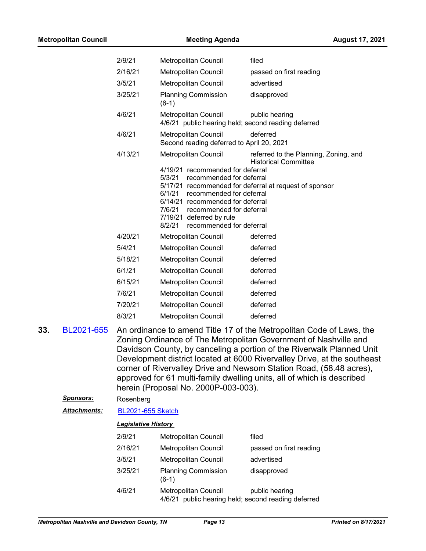| <b>Metropolitan Council</b> |         | <b>Meeting Agenda</b><br><b>August 17, 2021</b>                                                                                                                                                                                                          |                                                                       |
|-----------------------------|---------|----------------------------------------------------------------------------------------------------------------------------------------------------------------------------------------------------------------------------------------------------------|-----------------------------------------------------------------------|
|                             | 2/9/21  | Metropolitan Council                                                                                                                                                                                                                                     | filed                                                                 |
|                             | 2/16/21 | Metropolitan Council                                                                                                                                                                                                                                     | passed on first reading                                               |
|                             | 3/5/21  | Metropolitan Council                                                                                                                                                                                                                                     | advertised                                                            |
|                             | 3/25/21 | <b>Planning Commission</b><br>$(6-1)$                                                                                                                                                                                                                    | disapproved                                                           |
|                             | 4/6/21  | Metropolitan Council                                                                                                                                                                                                                                     | public hearing<br>4/6/21 public hearing held; second reading deferred |
|                             | 4/6/21  | Metropolitan Council<br>Second reading deferred to April 20, 2021                                                                                                                                                                                        | deferred                                                              |
|                             | 4/13/21 | <b>Metropolitan Council</b>                                                                                                                                                                                                                              | referred to the Planning, Zoning, and<br><b>Historical Committee</b>  |
|                             |         | 4/19/21 recommended for deferral<br>5/3/21<br>recommended for deferral<br>6/1/21<br>recommended for deferral<br>6/14/21 recommended for deferral<br>7/6/21<br>recommended for deferral<br>7/19/21 deferred by rule<br>8/2/21<br>recommended for deferral | 5/17/21 recommended for deferral at request of sponsor                |
|                             | 4/20/21 | Metropolitan Council                                                                                                                                                                                                                                     | deferred                                                              |
|                             | 5/4/21  | Metropolitan Council                                                                                                                                                                                                                                     | deferred                                                              |
|                             | 5/18/21 | Metropolitan Council                                                                                                                                                                                                                                     | deferred                                                              |
|                             | 6/1/21  | Metropolitan Council                                                                                                                                                                                                                                     | deferred                                                              |
|                             | 6/15/21 | Metropolitan Council                                                                                                                                                                                                                                     | deferred                                                              |
|                             | 7/6/21  | Metropolitan Council                                                                                                                                                                                                                                     | deferred                                                              |
|                             | 7/20/21 | Metropolitan Council                                                                                                                                                                                                                                     | deferred                                                              |
|                             | 8/3/21  | Metropolitan Council                                                                                                                                                                                                                                     | deferred                                                              |
| 33.<br>BL2021-655           |         |                                                                                                                                                                                                                                                          | An ordinance to amend Title 17 of the Metropolitan Code of Laws, the  |

- Zoning Ordinance of The Metropolitan Government of Nashville and Davidson County, by canceling a portion of the Riverwalk Planned Unit Development district located at 6000 Rivervalley Drive, at the southeast corner of Rivervalley Drive and Newsom Station Road, (58.48 acres), approved for 61 multi-family dwelling units, all of which is described herein (Proposal No. 2000P-003-003).
	- *Sponsors:* Rosenberg

*Attachments:* [BL2021-655 Sketch](http://nashville.legistar.com/gateway.aspx?M=F&ID=77b43b1c-3244-418d-a9af-745be0148128.docx)

| 2/9/21  | Metropolitan Council                                                        | filed                   |
|---------|-----------------------------------------------------------------------------|-------------------------|
| 2/16/21 | Metropolitan Council                                                        | passed on first reading |
| 3/5/21  | <b>Metropolitan Council</b>                                                 | advertised              |
| 3/25/21 | <b>Planning Commission</b><br>$(6-1)$                                       | disapproved             |
| 4/6/21  | Metropolitan Council<br>4/6/21 public hearing held; second reading deferred | public hearing          |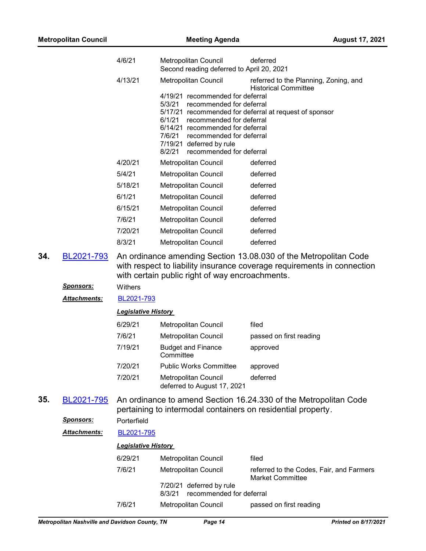|     |                                | 4/6/21                     | Metropolitan Council<br>Second reading deferred to April 20, 2021                                                                                                                                                                                     | deferred                                                                                                                                    |
|-----|--------------------------------|----------------------------|-------------------------------------------------------------------------------------------------------------------------------------------------------------------------------------------------------------------------------------------------------|---------------------------------------------------------------------------------------------------------------------------------------------|
|     |                                | 4/13/21                    | Metropolitan Council                                                                                                                                                                                                                                  | referred to the Planning, Zoning, and                                                                                                       |
|     |                                |                            | 4/19/21 recommended for deferral<br>5/3/21<br>recommended for deferral<br>recommended for deferral<br>6/1/21<br>6/14/21 recommended for deferral<br>7/6/21<br>recommended for deferral<br>7/19/21 deferred by rule<br>8/2/21 recommended for deferral | <b>Historical Committee</b><br>5/17/21 recommended for deferral at request of sponsor                                                       |
|     |                                | 4/20/21                    | Metropolitan Council                                                                                                                                                                                                                                  | deferred                                                                                                                                    |
|     |                                | 5/4/21                     | Metropolitan Council                                                                                                                                                                                                                                  | deferred                                                                                                                                    |
|     |                                | 5/18/21                    | Metropolitan Council                                                                                                                                                                                                                                  | deferred                                                                                                                                    |
|     |                                | 6/1/21                     | Metropolitan Council                                                                                                                                                                                                                                  | deferred                                                                                                                                    |
|     |                                | 6/15/21                    | Metropolitan Council                                                                                                                                                                                                                                  | deferred                                                                                                                                    |
|     |                                | 7/6/21                     | Metropolitan Council                                                                                                                                                                                                                                  | deferred                                                                                                                                    |
|     |                                | 7/20/21                    | Metropolitan Council                                                                                                                                                                                                                                  | deferred                                                                                                                                    |
|     |                                | 8/3/21                     | Metropolitan Council                                                                                                                                                                                                                                  | deferred                                                                                                                                    |
| 34. | BL2021-793<br><u>Sponsors:</u> | Withers                    | with certain public right of way encroachments.                                                                                                                                                                                                       | An ordinance amending Section 13.08.030 of the Metropolitan Code<br>with respect to liability insurance coverage requirements in connection |
|     | <u> Attachments:</u>           | BL2021-793                 |                                                                                                                                                                                                                                                       |                                                                                                                                             |
|     |                                | <b>Legislative History</b> |                                                                                                                                                                                                                                                       |                                                                                                                                             |
|     |                                | 6/29/21                    | Metropolitan Council                                                                                                                                                                                                                                  | filed                                                                                                                                       |
|     |                                | 7/6/21                     | Metropolitan Council                                                                                                                                                                                                                                  | passed on first reading                                                                                                                     |
|     |                                | 7/19/21                    | <b>Budget and Finance</b><br>Committee                                                                                                                                                                                                                | approved                                                                                                                                    |
|     |                                | 7/20/21                    | <b>Public Works Committee</b>                                                                                                                                                                                                                         | approved                                                                                                                                    |
|     |                                | 7/20/21                    | Metropolitan Council<br>deferred to August 17, 2021                                                                                                                                                                                                   | deferred                                                                                                                                    |
| 35. | BL2021-795                     |                            | pertaining to intermodal containers on residential property.                                                                                                                                                                                          | An ordinance to amend Section 16.24.330 of the Metropolitan Code                                                                            |
|     | <b>Sponsors:</b>               | Porterfield                |                                                                                                                                                                                                                                                       |                                                                                                                                             |
|     | Attachments:                   | BL2021-795                 |                                                                                                                                                                                                                                                       |                                                                                                                                             |
|     |                                | <b>Legislative History</b> |                                                                                                                                                                                                                                                       |                                                                                                                                             |
|     |                                | 6/29/21                    | Metropolitan Council                                                                                                                                                                                                                                  | filed                                                                                                                                       |
|     |                                | 7/6/21                     | Metropolitan Council                                                                                                                                                                                                                                  | referred to the Codes, Fair, and Farmers<br><b>Market Committee</b>                                                                         |
|     |                                |                            | 7/20/21 deferred by rule                                                                                                                                                                                                                              |                                                                                                                                             |

8/3/21 recommended for deferral

7/6/21 Metropolitan Council passed on first reading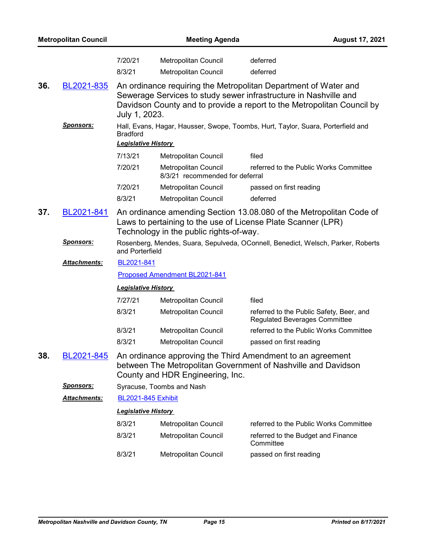|     | <b>Metropolitan Council</b> |                                               | <b>Meeting Agenda</b>                                   |                                                                                                                                                                                                               | <b>August 17, 2021</b> |
|-----|-----------------------------|-----------------------------------------------|---------------------------------------------------------|---------------------------------------------------------------------------------------------------------------------------------------------------------------------------------------------------------------|------------------------|
|     |                             | 7/20/21<br>8/3/21                             | Metropolitan Council<br><b>Metropolitan Council</b>     | deferred<br>deferred                                                                                                                                                                                          |                        |
| 36. | BL2021-835                  | July 1, 2023.                                 |                                                         | An ordinance requiring the Metropolitan Department of Water and<br>Sewerage Services to study sewer infrastructure in Nashville and<br>Davidson County and to provide a report to the Metropolitan Council by |                        |
|     | <u>Sponsors:</u>            | <b>Bradford</b><br><b>Legislative History</b> |                                                         | Hall, Evans, Hagar, Hausser, Swope, Toombs, Hurt, Taylor, Suara, Porterfield and                                                                                                                              |                        |
|     |                             | 7/13/21                                       | Metropolitan Council                                    | filed                                                                                                                                                                                                         |                        |
|     |                             | 7/20/21                                       | Metropolitan Council<br>8/3/21 recommended for deferral | referred to the Public Works Committee                                                                                                                                                                        |                        |
|     |                             | 7/20/21                                       | Metropolitan Council                                    | passed on first reading                                                                                                                                                                                       |                        |
|     |                             | 8/3/21                                        | Metropolitan Council                                    | deferred                                                                                                                                                                                                      |                        |
| 37. | BL2021-841                  |                                               | Technology in the public rights-of-way.                 | An ordinance amending Section 13.08.080 of the Metropolitan Code of<br>Laws to pertaining to the use of License Plate Scanner (LPR)                                                                           |                        |
|     | <u>Sponsors:</u>            | and Porterfield                               |                                                         | Rosenberg, Mendes, Suara, Sepulveda, OConnell, Benedict, Welsch, Parker, Roberts                                                                                                                              |                        |
|     | Attachments:                | BL2021-841                                    |                                                         |                                                                                                                                                                                                               |                        |
|     |                             |                                               | Proposed Amendment BL2021-841                           |                                                                                                                                                                                                               |                        |
|     |                             | <b>Legislative History</b>                    |                                                         |                                                                                                                                                                                                               |                        |
|     |                             | 7/27/21                                       | Metropolitan Council                                    | filed                                                                                                                                                                                                         |                        |
|     |                             | 8/3/21                                        | Metropolitan Council                                    | referred to the Public Safety, Beer, and<br><b>Regulated Beverages Committee</b>                                                                                                                              |                        |
|     |                             | 8/3/21                                        | Metropolitan Council                                    | referred to the Public Works Committee                                                                                                                                                                        |                        |
|     |                             | 8/3/21                                        | <b>Metropolitan Council</b>                             | passed on first reading                                                                                                                                                                                       |                        |
| 38. | BL2021-845                  |                                               | County and HDR Engineering, Inc.                        | An ordinance approving the Third Amendment to an agreement<br>between The Metropolitan Government of Nashville and Davidson                                                                                   |                        |
|     | <b>Sponsors:</b>            |                                               | Syracuse, Toombs and Nash                               |                                                                                                                                                                                                               |                        |
|     | <u> Attachments:</u>        | <b>BL2021-845 Exhibit</b>                     |                                                         |                                                                                                                                                                                                               |                        |
|     |                             | <b>Legislative History</b>                    |                                                         |                                                                                                                                                                                                               |                        |
|     |                             | 8/3/21                                        | Metropolitan Council                                    | referred to the Public Works Committee                                                                                                                                                                        |                        |
|     |                             | 8/3/21                                        | Metropolitan Council                                    | referred to the Budget and Finance<br>Committee                                                                                                                                                               |                        |
|     |                             | 8/3/21                                        | Metropolitan Council                                    | passed on first reading                                                                                                                                                                                       |                        |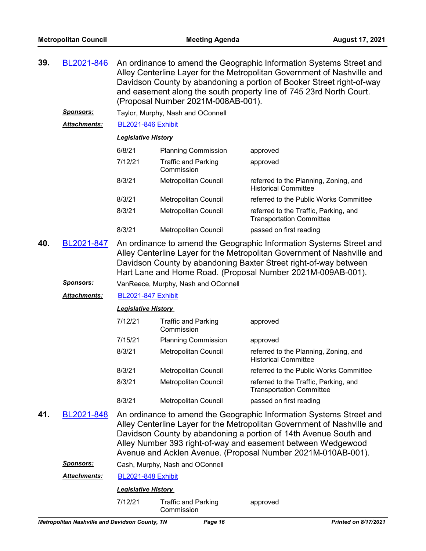| 39. | BL2021-846                     | An ordinance to amend the Geographic Information Systems Street and<br>Alley Centerline Layer for the Metropolitan Government of Nashville and<br>Davidson County by abandoning a portion of Booker Street right-of-way<br>and easement along the south property line of 745 23rd North Court.<br>(Proposal Number 2021M-008AB-001). |                                          |                                                                                                                                                                                                                                                                                                                                                    |  |  |
|-----|--------------------------------|--------------------------------------------------------------------------------------------------------------------------------------------------------------------------------------------------------------------------------------------------------------------------------------------------------------------------------------|------------------------------------------|----------------------------------------------------------------------------------------------------------------------------------------------------------------------------------------------------------------------------------------------------------------------------------------------------------------------------------------------------|--|--|
|     | <u>Sponsors:</u>               |                                                                                                                                                                                                                                                                                                                                      | Taylor, Murphy, Nash and OConnell        |                                                                                                                                                                                                                                                                                                                                                    |  |  |
|     | <b>Attachments:</b>            | <b>BL2021-846 Exhibit</b>                                                                                                                                                                                                                                                                                                            |                                          |                                                                                                                                                                                                                                                                                                                                                    |  |  |
|     |                                | <b>Legislative History</b>                                                                                                                                                                                                                                                                                                           |                                          |                                                                                                                                                                                                                                                                                                                                                    |  |  |
|     |                                | 6/8/21                                                                                                                                                                                                                                                                                                                               | <b>Planning Commission</b>               | approved                                                                                                                                                                                                                                                                                                                                           |  |  |
|     |                                | 7/12/21                                                                                                                                                                                                                                                                                                                              | <b>Traffic and Parking</b><br>Commission | approved                                                                                                                                                                                                                                                                                                                                           |  |  |
|     |                                | 8/3/21                                                                                                                                                                                                                                                                                                                               | Metropolitan Council                     | referred to the Planning, Zoning, and<br><b>Historical Committee</b>                                                                                                                                                                                                                                                                               |  |  |
|     |                                | 8/3/21                                                                                                                                                                                                                                                                                                                               | Metropolitan Council                     | referred to the Public Works Committee                                                                                                                                                                                                                                                                                                             |  |  |
|     |                                | 8/3/21                                                                                                                                                                                                                                                                                                                               | Metropolitan Council                     | referred to the Traffic, Parking, and<br><b>Transportation Committee</b>                                                                                                                                                                                                                                                                           |  |  |
|     |                                | 8/3/21                                                                                                                                                                                                                                                                                                                               | Metropolitan Council                     | passed on first reading                                                                                                                                                                                                                                                                                                                            |  |  |
| 40. | BL2021-847<br><b>Sponsors:</b> | An ordinance to amend the Geographic Information Systems Street and<br>Alley Centerline Layer for the Metropolitan Government of Nashville and<br>Davidson County by abandoning Baxter Street right-of-way between<br>Hart Lane and Home Road. (Proposal Number 2021M-009AB-001).<br>VanReece, Murphy, Nash and OConnell             |                                          |                                                                                                                                                                                                                                                                                                                                                    |  |  |
|     | <b>Attachments:</b>            | <b>BL2021-847 Exhibit</b>                                                                                                                                                                                                                                                                                                            |                                          |                                                                                                                                                                                                                                                                                                                                                    |  |  |
|     |                                |                                                                                                                                                                                                                                                                                                                                      | <b>Legislative History</b>               |                                                                                                                                                                                                                                                                                                                                                    |  |  |
|     |                                | 7/12/21                                                                                                                                                                                                                                                                                                                              | <b>Traffic and Parking</b><br>Commission | approved                                                                                                                                                                                                                                                                                                                                           |  |  |
|     |                                | 7/15/21                                                                                                                                                                                                                                                                                                                              | <b>Planning Commission</b>               | approved                                                                                                                                                                                                                                                                                                                                           |  |  |
|     |                                | 8/3/21                                                                                                                                                                                                                                                                                                                               | Metropolitan Council                     | referred to the Planning, Zoning, and<br><b>Historical Committee</b>                                                                                                                                                                                                                                                                               |  |  |
|     |                                | 8/3/21                                                                                                                                                                                                                                                                                                                               | Metropolitan Council                     | referred to the Public Works Committee                                                                                                                                                                                                                                                                                                             |  |  |
|     |                                | 8/3/21                                                                                                                                                                                                                                                                                                                               | Metropolitan Council                     | referred to the Traffic, Parking, and<br><b>Transportation Committee</b>                                                                                                                                                                                                                                                                           |  |  |
|     |                                | 8/3/21                                                                                                                                                                                                                                                                                                                               | Metropolitan Council                     | passed on first reading                                                                                                                                                                                                                                                                                                                            |  |  |
| 41. | BL2021-848                     |                                                                                                                                                                                                                                                                                                                                      |                                          | An ordinance to amend the Geographic Information Systems Street and<br>Alley Centerline Layer for the Metropolitan Government of Nashville and<br>Davidson County by abandoning a portion of 14th Avenue South and<br>Alley Number 393 right-of-way and easement between Wedgewood<br>Avenue and Acklen Avenue. (Proposal Number 2021M-010AB-001). |  |  |

*Sponsors:* Cash, Murphy, Nash and OConnell

*Attachments:* [BL2021-848 Exhibit](http://nashville.legistar.com/gateway.aspx?M=F&ID=cd004186-3070-4629-9a3a-1bef34664417.pdf)

| 7/12/21 | <b>Traffic and Parking</b> | approved |
|---------|----------------------------|----------|
|         | Commission                 |          |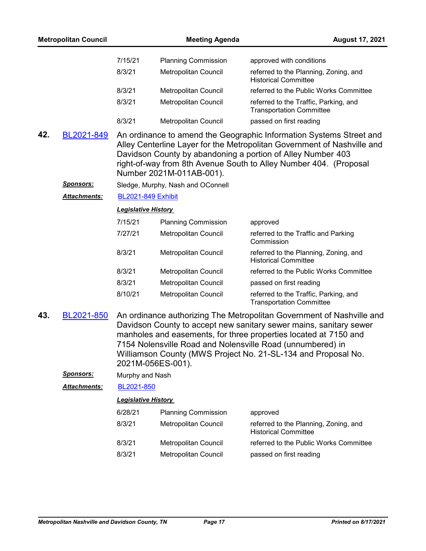|     | <b>Metropolitan Council</b> |                            | <b>Meeting Agenda</b>             | <b>August 17, 2021</b>                                                                                                                                                                                                                                                                                                                         |
|-----|-----------------------------|----------------------------|-----------------------------------|------------------------------------------------------------------------------------------------------------------------------------------------------------------------------------------------------------------------------------------------------------------------------------------------------------------------------------------------|
|     |                             | 7/15/21                    | <b>Planning Commission</b>        | approved with conditions                                                                                                                                                                                                                                                                                                                       |
|     |                             | 8/3/21                     | Metropolitan Council              | referred to the Planning, Zoning, and<br><b>Historical Committee</b>                                                                                                                                                                                                                                                                           |
|     |                             | 8/3/21                     | Metropolitan Council              | referred to the Public Works Committee                                                                                                                                                                                                                                                                                                         |
|     |                             | 8/3/21                     | Metropolitan Council              | referred to the Traffic, Parking, and<br><b>Transportation Committee</b>                                                                                                                                                                                                                                                                       |
|     |                             | 8/3/21                     | <b>Metropolitan Council</b>       | passed on first reading                                                                                                                                                                                                                                                                                                                        |
| 42. | BL2021-849                  |                            | Number 2021M-011AB-001).          | An ordinance to amend the Geographic Information Systems Street and<br>Alley Centerline Layer for the Metropolitan Government of Nashville and<br>Davidson County by abandoning a portion of Alley Number 403<br>right-of-way from 8th Avenue South to Alley Number 404. (Proposal                                                             |
|     | <u>Sponsors:</u>            |                            | Sledge, Murphy, Nash and OConnell |                                                                                                                                                                                                                                                                                                                                                |
|     | Attachments:                | <b>BL2021-849 Exhibit</b>  |                                   |                                                                                                                                                                                                                                                                                                                                                |
|     |                             | <b>Legislative History</b> |                                   |                                                                                                                                                                                                                                                                                                                                                |
|     |                             | 7/15/21                    | <b>Planning Commission</b>        | approved                                                                                                                                                                                                                                                                                                                                       |
|     |                             | 7/27/21                    | Metropolitan Council              | referred to the Traffic and Parking<br>Commission                                                                                                                                                                                                                                                                                              |
|     |                             | 8/3/21                     | Metropolitan Council              | referred to the Planning, Zoning, and<br><b>Historical Committee</b>                                                                                                                                                                                                                                                                           |
|     |                             | 8/3/21                     | Metropolitan Council              | referred to the Public Works Committee                                                                                                                                                                                                                                                                                                         |
|     |                             | 8/3/21                     | Metropolitan Council              | passed on first reading                                                                                                                                                                                                                                                                                                                        |
|     |                             | 8/10/21                    | Metropolitan Council              | referred to the Traffic, Parking, and<br><b>Transportation Committee</b>                                                                                                                                                                                                                                                                       |
| 43. | BL2021-850                  | 2021M-056ES-001).          |                                   | An ordinance authorizing The Metropolitan Government of Nashville and<br>Davidson County to accept new sanitary sewer mains, sanitary sewer<br>manholes and easements, for three properties located at 7150 and<br>7154 Nolensville Road and Nolensville Road (unnumbered) in<br>Williamson County (MWS Project No. 21-SL-134 and Proposal No. |
|     | <u>Sponsors:</u>            | Murphy and Nash            |                                   |                                                                                                                                                                                                                                                                                                                                                |
|     | Attachments:                | BL2021-850                 |                                   |                                                                                                                                                                                                                                                                                                                                                |
|     |                             | <b>Legislative History</b> |                                   |                                                                                                                                                                                                                                                                                                                                                |
|     |                             | 6/28/21                    | <b>Planning Commission</b>        | approved                                                                                                                                                                                                                                                                                                                                       |
|     |                             | 8/3/21                     | Metropolitan Council              | referred to the Planning, Zoning, and<br><b>Historical Committee</b>                                                                                                                                                                                                                                                                           |
|     |                             | 8/3/21                     | Metropolitan Council              | referred to the Public Works Committee                                                                                                                                                                                                                                                                                                         |
|     |                             | 8/3/21                     | Metropolitan Council              | passed on first reading                                                                                                                                                                                                                                                                                                                        |
|     |                             |                            |                                   |                                                                                                                                                                                                                                                                                                                                                |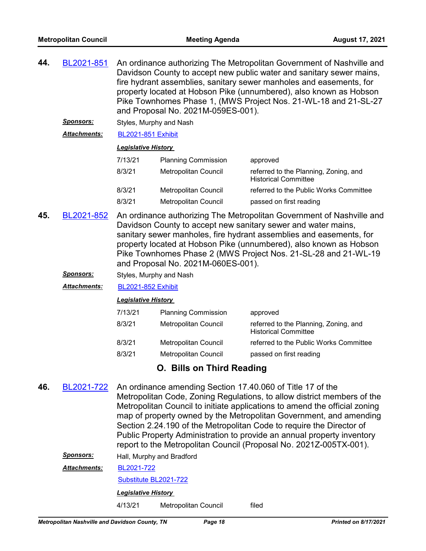An ordinance authorizing The Metropolitan Government of Nashville and Davidson County to accept new public water and sanitary sewer mains, fire hydrant assemblies, sanitary sewer manholes and easements, for property located at Hobson Pike (unnumbered), also known as Hobson Pike Townhomes Phase 1, (MWS Project Nos. 21-WL-18 and 21-SL-27 and Proposal No. 2021M-059ES-001). **44.** [BL2021-851](http://nashville.legistar.com/gateway.aspx?m=l&id=/matter.aspx?key=13405)

*Sponsors:* Styles, Murphy and Nash

*Attachments:* [BL2021-851 Exhibit](http://nashville.legistar.com/gateway.aspx?M=F&ID=faecd203-49fe-4168-be99-43565cd2cda9.pdf)

### *Legislative History*

| 7/13/21 | <b>Planning Commission</b>  | approved                                                             |
|---------|-----------------------------|----------------------------------------------------------------------|
| 8/3/21  | Metropolitan Council        | referred to the Planning, Zoning, and<br><b>Historical Committee</b> |
| 8/3/21  | <b>Metropolitan Council</b> | referred to the Public Works Committee                               |
| 8/3/21  | <b>Metropolitan Council</b> | passed on first reading                                              |

- An ordinance authorizing The Metropolitan Government of Nashville and Davidson County to accept new sanitary sewer and water mains, sanitary sewer manholes, fire hydrant assemblies and easements, for property located at Hobson Pike (unnumbered), also known as Hobson Pike Townhomes Phase 2 (MWS Project Nos. 21-SL-28 and 21-WL-19 and Proposal No. 2021M-060ES-001). **45.** [BL2021-852](http://nashville.legistar.com/gateway.aspx?m=l&id=/matter.aspx?key=13402)
	- *Sponsors:* Styles, Murphy and Nash

*Attachments:* [BL2021-852 Exhibit](http://nashville.legistar.com/gateway.aspx?M=F&ID=78bceab3-4ef6-443f-8728-0dd0c8196c01.pdf)

#### *Legislative History*

| 7/13/21 | <b>Planning Commission</b>  | approved                                                             |
|---------|-----------------------------|----------------------------------------------------------------------|
| 8/3/21  | Metropolitan Council        | referred to the Planning, Zoning, and<br><b>Historical Committee</b> |
| 8/3/21  | <b>Metropolitan Council</b> | referred to the Public Works Committee                               |
| 8/3/21  | Metropolitan Council        | passed on first reading                                              |
|         |                             |                                                                      |

## **O. Bills on Third Reading**

An ordinance amending Section 17.40.060 of Title 17 of the Metropolitan Code, Zoning Regulations, to allow district members of the Metropolitan Council to initiate applications to amend the official zoning map of property owned by the Metropolitan Government, and amending Section 2.24.190 of the Metropolitan Code to require the Director of Public Property Administration to provide an annual property inventory report to the Metropolitan Council (Proposal No. 2021Z-005TX-001). **46.** [BL2021-722](http://nashville.legistar.com/gateway.aspx?m=l&id=/matter.aspx?key=2163)

**Sponsors:** Hall, Murphy and Bradford

[BL2021-722](http://nashville.legistar.com/gateway.aspx?M=F&ID=7df8891c-e165-48ab-97d4-a0a3395f2934.pdf) *Attachments:*

[Substitute BL2021-722](http://nashville.legistar.com/gateway.aspx?M=F&ID=d4094962-32ca-4ac7-be99-5c90442c1b35.docx)

*Legislative History* 

4/13/21 Metropolitan Council filed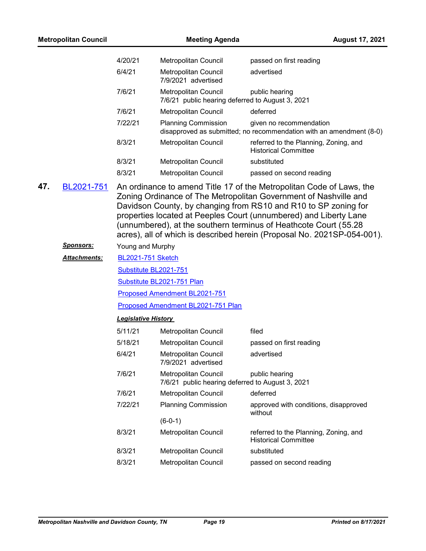| <b>Metropolitan Council</b> |                  | <b>Meeting Agenda</b>      |                                                                          | <b>August 17, 2021</b>                                                                                                                                                                                                                                                                                                                                                                                                          |
|-----------------------------|------------------|----------------------------|--------------------------------------------------------------------------|---------------------------------------------------------------------------------------------------------------------------------------------------------------------------------------------------------------------------------------------------------------------------------------------------------------------------------------------------------------------------------------------------------------------------------|
|                             |                  | 4/20/21                    | Metropolitan Council                                                     | passed on first reading                                                                                                                                                                                                                                                                                                                                                                                                         |
|                             |                  | 6/4/21                     | Metropolitan Council<br>7/9/2021 advertised                              | advertised                                                                                                                                                                                                                                                                                                                                                                                                                      |
|                             |                  | 7/6/21                     | Metropolitan Council<br>7/6/21 public hearing deferred to August 3, 2021 | public hearing                                                                                                                                                                                                                                                                                                                                                                                                                  |
|                             |                  | 7/6/21                     | Metropolitan Council                                                     | deferred                                                                                                                                                                                                                                                                                                                                                                                                                        |
|                             |                  | 7/22/21                    | <b>Planning Commission</b>                                               | given no recommendation<br>disapproved as submitted; no recommendation with an amendment (8-0)                                                                                                                                                                                                                                                                                                                                  |
|                             |                  | 8/3/21                     | Metropolitan Council                                                     | referred to the Planning, Zoning, and<br><b>Historical Committee</b>                                                                                                                                                                                                                                                                                                                                                            |
|                             |                  | 8/3/21                     | Metropolitan Council                                                     | substituted                                                                                                                                                                                                                                                                                                                                                                                                                     |
|                             |                  | 8/3/21                     | Metropolitan Council                                                     | passed on second reading                                                                                                                                                                                                                                                                                                                                                                                                        |
| 47.                         | BL2021-751       |                            |                                                                          | An ordinance to amend Title 17 of the Metropolitan Code of Laws, the<br>Zoning Ordinance of The Metropolitan Government of Nashville and<br>Davidson County, by changing from RS10 and R10 to SP zoning for<br>properties located at Peeples Court (unnumbered) and Liberty Lane<br>(unnumbered), at the southern terminus of Heathcote Court (55.28<br>acres), all of which is described herein (Proposal No. 2021SP-054-001). |
|                             | <u>Sponsors:</u> | Young and Murphy           |                                                                          |                                                                                                                                                                                                                                                                                                                                                                                                                                 |
|                             | Attachments:     | <b>BL2021-751 Sketch</b>   |                                                                          |                                                                                                                                                                                                                                                                                                                                                                                                                                 |
|                             |                  | Substitute BL2021-751      |                                                                          |                                                                                                                                                                                                                                                                                                                                                                                                                                 |
|                             |                  |                            | Substitute BL2021-751 Plan                                               |                                                                                                                                                                                                                                                                                                                                                                                                                                 |
|                             |                  |                            | Proposed Amendment BL2021-751                                            |                                                                                                                                                                                                                                                                                                                                                                                                                                 |
|                             |                  |                            | Proposed Amendment BL2021-751 Plan                                       |                                                                                                                                                                                                                                                                                                                                                                                                                                 |
|                             |                  | <b>Legislative History</b> |                                                                          |                                                                                                                                                                                                                                                                                                                                                                                                                                 |
|                             |                  | 5/11/21                    | Metropolitan Council                                                     | filed                                                                                                                                                                                                                                                                                                                                                                                                                           |
|                             |                  | 5/18/21                    | Metropolitan Council                                                     | passed on first reading                                                                                                                                                                                                                                                                                                                                                                                                         |
|                             |                  | 6/4/21                     | Metropolitan Council<br>7/9/2021 advertised                              | advertised                                                                                                                                                                                                                                                                                                                                                                                                                      |
|                             |                  | 7/6/21                     | Metropolitan Council<br>7/6/21 public hearing deferred to August 3, 2021 | public hearing                                                                                                                                                                                                                                                                                                                                                                                                                  |
|                             |                  | 7/6/21                     | Metropolitan Council                                                     | deferred                                                                                                                                                                                                                                                                                                                                                                                                                        |
|                             |                  | 7/22/21                    | <b>Planning Commission</b>                                               | approved with conditions, disapproved<br>without                                                                                                                                                                                                                                                                                                                                                                                |
|                             |                  |                            | $(6-0-1)$                                                                |                                                                                                                                                                                                                                                                                                                                                                                                                                 |
|                             |                  | 8/3/21                     | Metropolitan Council                                                     | referred to the Planning, Zoning, and<br><b>Historical Committee</b>                                                                                                                                                                                                                                                                                                                                                            |
|                             |                  | 8/3/21                     | Metropolitan Council                                                     | substituted                                                                                                                                                                                                                                                                                                                                                                                                                     |
|                             |                  | 8/3/21                     | Metropolitan Council                                                     | passed on second reading                                                                                                                                                                                                                                                                                                                                                                                                        |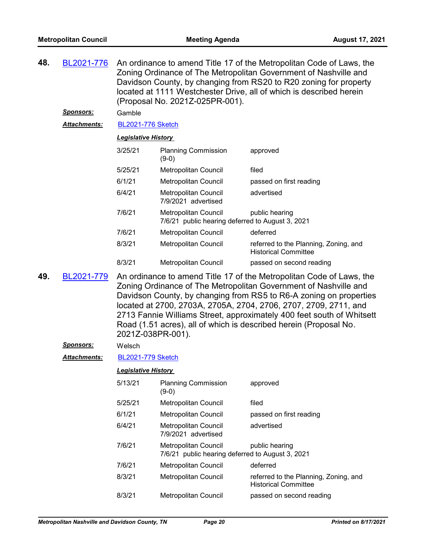| 48.                        | BL2021-776          | An ordinance to amend Title 17 of the Metropolitan Code of Laws, the<br>Zoning Ordinance of The Metropolitan Government of Nashville and<br>Davidson County, by changing from RS20 to R20 zoning for property<br>located at 1111 Westchester Drive, all of which is described herein<br>(Proposal No. 2021Z-025PR-001). |                                                                                                                                                                                                                                                                                                                                                                                                                                                       |                                                                      |  |
|----------------------------|---------------------|-------------------------------------------------------------------------------------------------------------------------------------------------------------------------------------------------------------------------------------------------------------------------------------------------------------------------|-------------------------------------------------------------------------------------------------------------------------------------------------------------------------------------------------------------------------------------------------------------------------------------------------------------------------------------------------------------------------------------------------------------------------------------------------------|----------------------------------------------------------------------|--|
|                            | <u>Sponsors:</u>    | Gamble                                                                                                                                                                                                                                                                                                                  |                                                                                                                                                                                                                                                                                                                                                                                                                                                       |                                                                      |  |
|                            | Attachments:        | <b>BL2021-776 Sketch</b>                                                                                                                                                                                                                                                                                                |                                                                                                                                                                                                                                                                                                                                                                                                                                                       |                                                                      |  |
| <b>Legislative History</b> |                     |                                                                                                                                                                                                                                                                                                                         |                                                                                                                                                                                                                                                                                                                                                                                                                                                       |                                                                      |  |
|                            |                     | 3/25/21                                                                                                                                                                                                                                                                                                                 | <b>Planning Commission</b><br>$(9-0)$                                                                                                                                                                                                                                                                                                                                                                                                                 | approved                                                             |  |
|                            |                     | 5/25/21                                                                                                                                                                                                                                                                                                                 | Metropolitan Council                                                                                                                                                                                                                                                                                                                                                                                                                                  | filed                                                                |  |
|                            |                     | 6/1/21                                                                                                                                                                                                                                                                                                                  | Metropolitan Council                                                                                                                                                                                                                                                                                                                                                                                                                                  | passed on first reading                                              |  |
|                            |                     | 6/4/21                                                                                                                                                                                                                                                                                                                  | Metropolitan Council<br>7/9/2021 advertised                                                                                                                                                                                                                                                                                                                                                                                                           | advertised                                                           |  |
|                            |                     | 7/6/21                                                                                                                                                                                                                                                                                                                  | Metropolitan Council<br>7/6/21 public hearing deferred to August 3, 2021                                                                                                                                                                                                                                                                                                                                                                              | public hearing                                                       |  |
|                            |                     | 7/6/21                                                                                                                                                                                                                                                                                                                  | Metropolitan Council                                                                                                                                                                                                                                                                                                                                                                                                                                  | deferred                                                             |  |
|                            |                     | 8/3/21                                                                                                                                                                                                                                                                                                                  | Metropolitan Council                                                                                                                                                                                                                                                                                                                                                                                                                                  | referred to the Planning, Zoning, and<br><b>Historical Committee</b> |  |
|                            |                     | 8/3/21                                                                                                                                                                                                                                                                                                                  | Metropolitan Council                                                                                                                                                                                                                                                                                                                                                                                                                                  | passed on second reading                                             |  |
| 49.                        | BL2021-779          |                                                                                                                                                                                                                                                                                                                         | An ordinance to amend Title 17 of the Metropolitan Code of Laws, the<br>Zoning Ordinance of The Metropolitan Government of Nashville and<br>Davidson County, by changing from RS5 to R6-A zoning on properties<br>located at 2700, 2703A, 2705A, 2704, 2706, 2707, 2709, 2711, and<br>2713 Fannie Williams Street, approximately 400 feet south of Whitsett<br>Road (1.51 acres), all of which is described herein (Proposal No.<br>2021Z-038PR-001). |                                                                      |  |
|                            | <b>Sponsors:</b>    | Welsch                                                                                                                                                                                                                                                                                                                  |                                                                                                                                                                                                                                                                                                                                                                                                                                                       |                                                                      |  |
|                            | <b>Attachments:</b> | <b>BL2021-779 Sketch</b>                                                                                                                                                                                                                                                                                                |                                                                                                                                                                                                                                                                                                                                                                                                                                                       |                                                                      |  |
|                            |                     | <b>Legislative History</b>                                                                                                                                                                                                                                                                                              |                                                                                                                                                                                                                                                                                                                                                                                                                                                       |                                                                      |  |
|                            |                     | 5/13/21                                                                                                                                                                                                                                                                                                                 | <b>Planning Commission</b><br>$(9-0)$                                                                                                                                                                                                                                                                                                                                                                                                                 | approved                                                             |  |
|                            |                     | 5/25/21                                                                                                                                                                                                                                                                                                                 | Metropolitan Council                                                                                                                                                                                                                                                                                                                                                                                                                                  | filed                                                                |  |
|                            |                     | 6/1/21                                                                                                                                                                                                                                                                                                                  | Metropolitan Council                                                                                                                                                                                                                                                                                                                                                                                                                                  | passed on first reading                                              |  |
|                            |                     | 6/4/21                                                                                                                                                                                                                                                                                                                  | <b>Metropolitan Council</b><br>7/9/2021 advertised                                                                                                                                                                                                                                                                                                                                                                                                    | advertised                                                           |  |
|                            |                     | 7/6/21                                                                                                                                                                                                                                                                                                                  | Metropolitan Council<br>7/6/21 public hearing deferred to August 3, 2021                                                                                                                                                                                                                                                                                                                                                                              | public hearing                                                       |  |
|                            |                     | 7/6/21                                                                                                                                                                                                                                                                                                                  | Metropolitan Council                                                                                                                                                                                                                                                                                                                                                                                                                                  | deferred                                                             |  |
|                            |                     | 8/3/21                                                                                                                                                                                                                                                                                                                  | Metropolitan Council                                                                                                                                                                                                                                                                                                                                                                                                                                  | referred to the Planning, Zoning, and<br><b>Historical Committee</b> |  |
|                            |                     | 8/3/21                                                                                                                                                                                                                                                                                                                  | Metropolitan Council                                                                                                                                                                                                                                                                                                                                                                                                                                  | passed on second reading                                             |  |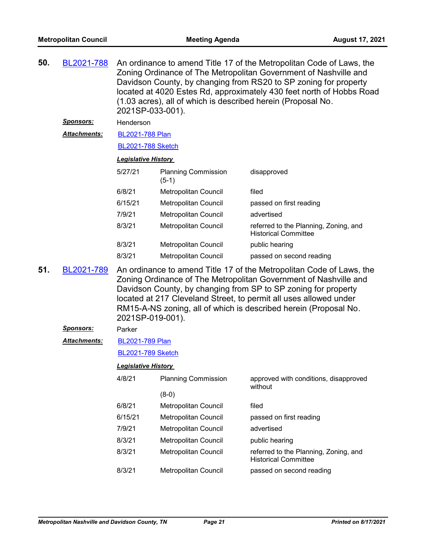| 50. | BL2021-788          | An ordinance to amend Title 17 of the Metropolitan Code of Laws, the<br>Zoning Ordinance of The Metropolitan Government of Nashville and<br>Davidson County, by changing from RS20 to SP zoning for property<br>located at 4020 Estes Rd, approximately 430 feet north of Hobbs Road<br>(1.03 acres), all of which is described herein (Proposal No.<br>2021SP-033-001). |                                        |                                                                      |  |
|-----|---------------------|--------------------------------------------------------------------------------------------------------------------------------------------------------------------------------------------------------------------------------------------------------------------------------------------------------------------------------------------------------------------------|----------------------------------------|----------------------------------------------------------------------|--|
|     | <u>Sponsors:</u>    | Henderson                                                                                                                                                                                                                                                                                                                                                                |                                        |                                                                      |  |
|     | <b>Attachments:</b> | <b>BL2021-788 Plan</b>                                                                                                                                                                                                                                                                                                                                                   |                                        |                                                                      |  |
|     |                     | <b>BL2021-788 Sketch</b>                                                                                                                                                                                                                                                                                                                                                 |                                        |                                                                      |  |
|     |                     | <b>Legislative History</b>                                                                                                                                                                                                                                                                                                                                               |                                        |                                                                      |  |
|     |                     | 5/27/21                                                                                                                                                                                                                                                                                                                                                                  | <b>Planning Commission</b><br>$(5-1)$  | disapproved                                                          |  |
|     |                     | 6/8/21                                                                                                                                                                                                                                                                                                                                                                   | Metropolitan Council                   | filed                                                                |  |
|     |                     | 6/15/21                                                                                                                                                                                                                                                                                                                                                                  | Metropolitan Council                   | passed on first reading                                              |  |
|     |                     | 7/9/21                                                                                                                                                                                                                                                                                                                                                                   | Metropolitan Council                   | advertised                                                           |  |
|     |                     | 8/3/21                                                                                                                                                                                                                                                                                                                                                                   | Metropolitan Council                   | referred to the Planning, Zoning, and<br><b>Historical Committee</b> |  |
|     |                     | 8/3/21                                                                                                                                                                                                                                                                                                                                                                   | Metropolitan Council                   | public hearing                                                       |  |
|     |                     | 8/3/21                                                                                                                                                                                                                                                                                                                                                                   | Metropolitan Council                   | passed on second reading                                             |  |
| 51. | BL2021-789          | An ordinance to amend Title 17 of the Metropolitan Code of Laws, the<br>Zoning Ordinance of The Metropolitan Government of Nashville and<br>Davidson County, by changing from SP to SP zoning for property<br>located at 217 Cleveland Street, to permit all uses allowed under<br>RM15-A-NS zoning, all of which is described herein (Proposal No.<br>2021SP-019-001).  |                                        |                                                                      |  |
|     |                     |                                                                                                                                                                                                                                                                                                                                                                          |                                        |                                                                      |  |
|     | <b>Sponsors:</b>    | Parker                                                                                                                                                                                                                                                                                                                                                                   |                                        |                                                                      |  |
|     | Attachments:        | <b>BL2021-789 Plan</b>                                                                                                                                                                                                                                                                                                                                                   |                                        |                                                                      |  |
|     |                     | <b>BL2021-789 Sketch</b>                                                                                                                                                                                                                                                                                                                                                 |                                        |                                                                      |  |
|     |                     | <b>Legislative History</b>                                                                                                                                                                                                                                                                                                                                               |                                        |                                                                      |  |
|     |                     | 4/8/21                                                                                                                                                                                                                                                                                                                                                                   | <b>Planning Commission</b>             | approved with conditions, disapproved                                |  |
|     |                     |                                                                                                                                                                                                                                                                                                                                                                          |                                        | without                                                              |  |
|     |                     | 6/8/21                                                                                                                                                                                                                                                                                                                                                                   | $(8-0)$<br><b>Metropolitan Council</b> | filed                                                                |  |
|     |                     | 6/15/21                                                                                                                                                                                                                                                                                                                                                                  | <b>Metropolitan Council</b>            | passed on first reading                                              |  |
|     |                     | 7/9/21                                                                                                                                                                                                                                                                                                                                                                   | <b>Metropolitan Council</b>            | advertised                                                           |  |
|     |                     | 8/3/21                                                                                                                                                                                                                                                                                                                                                                   | Metropolitan Council                   | public hearing                                                       |  |
|     |                     | 8/3/21                                                                                                                                                                                                                                                                                                                                                                   | Metropolitan Council                   | referred to the Planning, Zoning, and<br><b>Historical Committee</b> |  |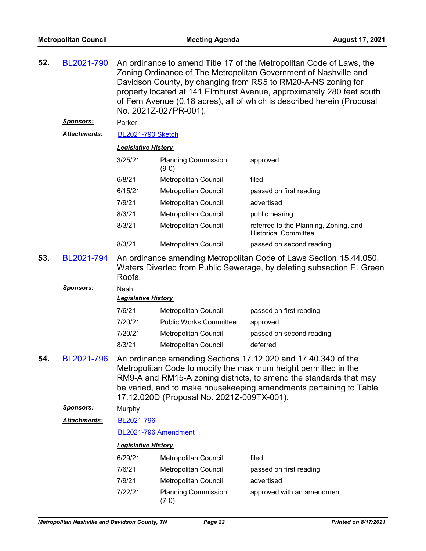| 52. | BL2021-790                     | An ordinance to amend Title 17 of the Metropolitan Code of Laws, the<br>Zoning Ordinance of The Metropolitan Government of Nashville and<br>Davidson County, by changing from RS5 to RM20-A-NS zoning for<br>property located at 141 Elmhurst Avenue, approximately 280 feet south<br>of Fern Avenue (0.18 acres), all of which is described herein (Proposal<br>No. 2021Z-027PR-001). |                                            |                                                                                                                                                                                                                                                                              |  |  |
|-----|--------------------------------|----------------------------------------------------------------------------------------------------------------------------------------------------------------------------------------------------------------------------------------------------------------------------------------------------------------------------------------------------------------------------------------|--------------------------------------------|------------------------------------------------------------------------------------------------------------------------------------------------------------------------------------------------------------------------------------------------------------------------------|--|--|
|     | <u>Sponsors:</u>               | Parker                                                                                                                                                                                                                                                                                                                                                                                 |                                            |                                                                                                                                                                                                                                                                              |  |  |
|     | <u> Attachments:</u>           | <b>BL2021-790 Sketch</b>                                                                                                                                                                                                                                                                                                                                                               |                                            |                                                                                                                                                                                                                                                                              |  |  |
|     |                                | <b>Legislative History</b>                                                                                                                                                                                                                                                                                                                                                             |                                            |                                                                                                                                                                                                                                                                              |  |  |
|     |                                | 3/25/21                                                                                                                                                                                                                                                                                                                                                                                | <b>Planning Commission</b><br>$(9-0)$      | approved                                                                                                                                                                                                                                                                     |  |  |
|     |                                | 6/8/21                                                                                                                                                                                                                                                                                                                                                                                 | Metropolitan Council                       | filed                                                                                                                                                                                                                                                                        |  |  |
|     |                                | 6/15/21                                                                                                                                                                                                                                                                                                                                                                                | Metropolitan Council                       | passed on first reading                                                                                                                                                                                                                                                      |  |  |
|     |                                | 7/9/21                                                                                                                                                                                                                                                                                                                                                                                 | Metropolitan Council                       | advertised                                                                                                                                                                                                                                                                   |  |  |
|     |                                | 8/3/21                                                                                                                                                                                                                                                                                                                                                                                 | Metropolitan Council                       | public hearing                                                                                                                                                                                                                                                               |  |  |
|     |                                | 8/3/21                                                                                                                                                                                                                                                                                                                                                                                 | Metropolitan Council                       | referred to the Planning, Zoning, and<br><b>Historical Committee</b>                                                                                                                                                                                                         |  |  |
|     |                                | 8/3/21                                                                                                                                                                                                                                                                                                                                                                                 | Metropolitan Council                       | passed on second reading                                                                                                                                                                                                                                                     |  |  |
| 53. | BL2021-794<br><u>Sponsors:</u> | An ordinance amending Metropolitan Code of Laws Section 15.44.050,<br>Waters Diverted from Public Sewerage, by deleting subsection E. Green<br>Roofs.<br>Nash                                                                                                                                                                                                                          |                                            |                                                                                                                                                                                                                                                                              |  |  |
|     |                                | <b>Legislative History</b>                                                                                                                                                                                                                                                                                                                                                             |                                            |                                                                                                                                                                                                                                                                              |  |  |
|     |                                | 7/6/21                                                                                                                                                                                                                                                                                                                                                                                 | <b>Metropolitan Council</b>                | passed on first reading                                                                                                                                                                                                                                                      |  |  |
|     |                                | 7/20/21                                                                                                                                                                                                                                                                                                                                                                                | <b>Public Works Committee</b>              | approved                                                                                                                                                                                                                                                                     |  |  |
|     |                                | 7/20/21                                                                                                                                                                                                                                                                                                                                                                                | Metropolitan Council                       | passed on second reading                                                                                                                                                                                                                                                     |  |  |
|     |                                | 8/3/21                                                                                                                                                                                                                                                                                                                                                                                 | <b>Metropolitan Council</b>                | deferred                                                                                                                                                                                                                                                                     |  |  |
| 54. | BL2021-796                     |                                                                                                                                                                                                                                                                                                                                                                                        | 17.12.020D (Proposal No. 2021Z-009TX-001). | An ordinance amending Sections 17.12.020 and 17.40.340 of the<br>Metropolitan Code to modify the maximum height permitted in the<br>RM9-A and RM15-A zoning districts, to amend the standards that may<br>be varied, and to make housekeeping amendments pertaining to Table |  |  |
|     | <u>Sponsors:</u>               | Murphy                                                                                                                                                                                                                                                                                                                                                                                 |                                            |                                                                                                                                                                                                                                                                              |  |  |
|     | <b>Attachments:</b>            | BL2021-796                                                                                                                                                                                                                                                                                                                                                                             |                                            |                                                                                                                                                                                                                                                                              |  |  |
|     |                                | BL2021-796 Amendment                                                                                                                                                                                                                                                                                                                                                                   |                                            |                                                                                                                                                                                                                                                                              |  |  |
|     |                                | <b>Legislative History</b>                                                                                                                                                                                                                                                                                                                                                             |                                            |                                                                                                                                                                                                                                                                              |  |  |
|     |                                | 6/29/21                                                                                                                                                                                                                                                                                                                                                                                | Metropolitan Council                       | filed                                                                                                                                                                                                                                                                        |  |  |
|     |                                | 7/6/21                                                                                                                                                                                                                                                                                                                                                                                 | Metropolitan Council                       | passed on first reading                                                                                                                                                                                                                                                      |  |  |
|     |                                | 7/9/21                                                                                                                                                                                                                                                                                                                                                                                 | Metropolitan Council                       | advertised                                                                                                                                                                                                                                                                   |  |  |
|     |                                | 7/22/21                                                                                                                                                                                                                                                                                                                                                                                | <b>Planning Commission</b><br>$(7-0)$      | approved with an amendment                                                                                                                                                                                                                                                   |  |  |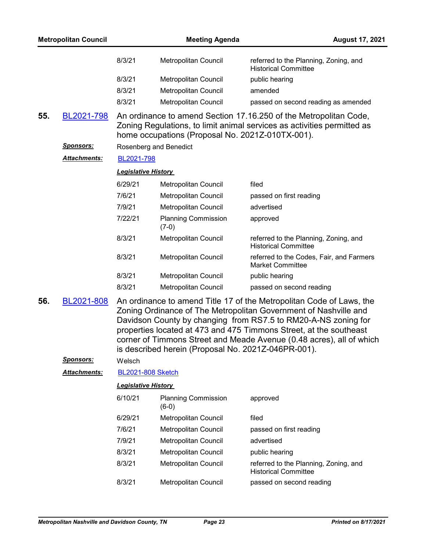| <b>Metropolitan Council</b> |                      |                            | <b>Meeting Agenda</b><br><b>August 17, 2021</b>     |                                                                                                                                                                                                                                                                                                                                                          |
|-----------------------------|----------------------|----------------------------|-----------------------------------------------------|----------------------------------------------------------------------------------------------------------------------------------------------------------------------------------------------------------------------------------------------------------------------------------------------------------------------------------------------------------|
|                             |                      | 8/3/21                     | Metropolitan Council                                | referred to the Planning, Zoning, and<br><b>Historical Committee</b>                                                                                                                                                                                                                                                                                     |
|                             |                      | 8/3/21                     | Metropolitan Council                                | public hearing                                                                                                                                                                                                                                                                                                                                           |
|                             |                      | 8/3/21                     | Metropolitan Council                                | amended                                                                                                                                                                                                                                                                                                                                                  |
|                             |                      | 8/3/21                     | Metropolitan Council                                | passed on second reading as amended                                                                                                                                                                                                                                                                                                                      |
| 55.                         | BL2021-798           |                            | home occupations (Proposal No. 2021Z-010TX-001).    | An ordinance to amend Section 17.16.250 of the Metropolitan Code,<br>Zoning Regulations, to limit animal services as activities permitted as                                                                                                                                                                                                             |
|                             | <u>Sponsors:</u>     |                            | Rosenberg and Benedict                              |                                                                                                                                                                                                                                                                                                                                                          |
|                             | Attachments:         | BL2021-798                 |                                                     |                                                                                                                                                                                                                                                                                                                                                          |
|                             |                      | <b>Legislative History</b> |                                                     |                                                                                                                                                                                                                                                                                                                                                          |
|                             |                      | 6/29/21                    | Metropolitan Council                                | filed                                                                                                                                                                                                                                                                                                                                                    |
|                             |                      | 7/6/21                     | <b>Metropolitan Council</b>                         | passed on first reading                                                                                                                                                                                                                                                                                                                                  |
|                             |                      | 7/9/21                     | Metropolitan Council                                | advertised                                                                                                                                                                                                                                                                                                                                               |
|                             |                      | 7/22/21                    | <b>Planning Commission</b><br>$(7-0)$               | approved                                                                                                                                                                                                                                                                                                                                                 |
|                             |                      | 8/3/21                     | Metropolitan Council                                | referred to the Planning, Zoning, and<br><b>Historical Committee</b>                                                                                                                                                                                                                                                                                     |
|                             |                      | 8/3/21                     | Metropolitan Council                                | referred to the Codes, Fair, and Farmers<br><b>Market Committee</b>                                                                                                                                                                                                                                                                                      |
|                             |                      | 8/3/21                     | Metropolitan Council                                | public hearing                                                                                                                                                                                                                                                                                                                                           |
|                             |                      | 8/3/21                     | Metropolitan Council                                | passed on second reading                                                                                                                                                                                                                                                                                                                                 |
| 56.                         | BL2021-808           |                            | is described herein (Proposal No. 2021Z-046PR-001). | An ordinance to amend Title 17 of the Metropolitan Code of Laws, the<br>Zoning Ordinance of The Metropolitan Government of Nashville and<br>Davidson County by changing from RS7.5 to RM20-A-NS zoning for<br>properties located at 473 and 475 Timmons Street, at the southeast<br>corner of Timmons Street and Meade Avenue (0.48 acres), all of which |
|                             | <b>Sponsors:</b>     | Welsch                     |                                                     |                                                                                                                                                                                                                                                                                                                                                          |
|                             | <u> Attachments:</u> | <b>BL2021-808 Sketch</b>   |                                                     |                                                                                                                                                                                                                                                                                                                                                          |
|                             |                      | <b>Legislative History</b> |                                                     |                                                                                                                                                                                                                                                                                                                                                          |
|                             |                      | 6/10/21                    | <b>Planning Commission</b><br>$(6-0)$               | approved                                                                                                                                                                                                                                                                                                                                                 |
|                             |                      | 6/29/21                    | Metropolitan Council                                | filed                                                                                                                                                                                                                                                                                                                                                    |
|                             |                      | 7/6/21                     | Metropolitan Council                                | passed on first reading                                                                                                                                                                                                                                                                                                                                  |
|                             |                      | 7/9/21                     | Metropolitan Council                                | advertised                                                                                                                                                                                                                                                                                                                                               |
|                             |                      | 8/3/21                     | Metropolitan Council                                | public hearing                                                                                                                                                                                                                                                                                                                                           |

8/3/21 Metropolitan Council referred to the Planning, Zoning, and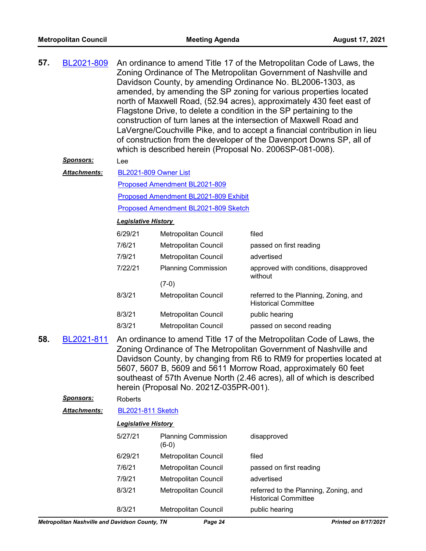| 57.                                                                                                                                                                                                                                                                                                                                                                                                                          | BL2021-809          | An ordinance to amend Title 17 of the Metropolitan Code of Laws, the<br>Zoning Ordinance of The Metropolitan Government of Nashville and<br>Davidson County, by amending Ordinance No. BL2006-1303, as<br>amended, by amending the SP zoning for various properties located<br>north of Maxwell Road, (52.94 acres), approximately 430 feet east of<br>Flagstone Drive, to delete a condition in the SP pertaining to the<br>construction of turn lanes at the intersection of Maxwell Road and<br>LaVergne/Couchville Pike, and to accept a financial contribution in lieu<br>of construction from the developer of the Davenport Downs SP, all of<br>which is described herein (Proposal No. 2006SP-081-008). |                                       |                                                                      |  |  |
|------------------------------------------------------------------------------------------------------------------------------------------------------------------------------------------------------------------------------------------------------------------------------------------------------------------------------------------------------------------------------------------------------------------------------|---------------------|-----------------------------------------------------------------------------------------------------------------------------------------------------------------------------------------------------------------------------------------------------------------------------------------------------------------------------------------------------------------------------------------------------------------------------------------------------------------------------------------------------------------------------------------------------------------------------------------------------------------------------------------------------------------------------------------------------------------|---------------------------------------|----------------------------------------------------------------------|--|--|
|                                                                                                                                                                                                                                                                                                                                                                                                                              | Sponsors:           | Lee                                                                                                                                                                                                                                                                                                                                                                                                                                                                                                                                                                                                                                                                                                             |                                       |                                                                      |  |  |
|                                                                                                                                                                                                                                                                                                                                                                                                                              | <b>Attachments:</b> | BL2021-809 Owner List                                                                                                                                                                                                                                                                                                                                                                                                                                                                                                                                                                                                                                                                                           |                                       |                                                                      |  |  |
|                                                                                                                                                                                                                                                                                                                                                                                                                              |                     |                                                                                                                                                                                                                                                                                                                                                                                                                                                                                                                                                                                                                                                                                                                 | Proposed Amendment BL2021-809         |                                                                      |  |  |
|                                                                                                                                                                                                                                                                                                                                                                                                                              |                     |                                                                                                                                                                                                                                                                                                                                                                                                                                                                                                                                                                                                                                                                                                                 | Proposed Amendment BL2021-809 Exhibit |                                                                      |  |  |
|                                                                                                                                                                                                                                                                                                                                                                                                                              |                     |                                                                                                                                                                                                                                                                                                                                                                                                                                                                                                                                                                                                                                                                                                                 | Proposed Amendment BL2021-809 Sketch  |                                                                      |  |  |
|                                                                                                                                                                                                                                                                                                                                                                                                                              |                     | <b>Legislative History</b>                                                                                                                                                                                                                                                                                                                                                                                                                                                                                                                                                                                                                                                                                      |                                       |                                                                      |  |  |
|                                                                                                                                                                                                                                                                                                                                                                                                                              |                     | 6/29/21                                                                                                                                                                                                                                                                                                                                                                                                                                                                                                                                                                                                                                                                                                         | Metropolitan Council                  | filed                                                                |  |  |
|                                                                                                                                                                                                                                                                                                                                                                                                                              |                     | 7/6/21                                                                                                                                                                                                                                                                                                                                                                                                                                                                                                                                                                                                                                                                                                          | <b>Metropolitan Council</b>           | passed on first reading                                              |  |  |
|                                                                                                                                                                                                                                                                                                                                                                                                                              |                     | 7/9/21                                                                                                                                                                                                                                                                                                                                                                                                                                                                                                                                                                                                                                                                                                          | Metropolitan Council                  | advertised                                                           |  |  |
|                                                                                                                                                                                                                                                                                                                                                                                                                              |                     | 7/22/21                                                                                                                                                                                                                                                                                                                                                                                                                                                                                                                                                                                                                                                                                                         | <b>Planning Commission</b>            | approved with conditions, disapproved<br>without                     |  |  |
|                                                                                                                                                                                                                                                                                                                                                                                                                              |                     |                                                                                                                                                                                                                                                                                                                                                                                                                                                                                                                                                                                                                                                                                                                 | $(7-0)$                               |                                                                      |  |  |
|                                                                                                                                                                                                                                                                                                                                                                                                                              |                     | 8/3/21                                                                                                                                                                                                                                                                                                                                                                                                                                                                                                                                                                                                                                                                                                          | Metropolitan Council                  | referred to the Planning, Zoning, and<br><b>Historical Committee</b> |  |  |
|                                                                                                                                                                                                                                                                                                                                                                                                                              |                     | 8/3/21                                                                                                                                                                                                                                                                                                                                                                                                                                                                                                                                                                                                                                                                                                          | Metropolitan Council                  | public hearing                                                       |  |  |
|                                                                                                                                                                                                                                                                                                                                                                                                                              |                     | 8/3/21                                                                                                                                                                                                                                                                                                                                                                                                                                                                                                                                                                                                                                                                                                          | Metropolitan Council                  | passed on second reading                                             |  |  |
| 58.<br>An ordinance to amend Title 17 of the Metropolitan Code of Laws, the<br>BL2021-811<br>Zoning Ordinance of The Metropolitan Government of Nashville and<br>Davidson County, by changing from R6 to RM9 for properties located at<br>5607, 5607 B, 5609 and 5611 Morrow Road, approximately 60 feet<br>southeast of 57th Avenue North (2.46 acres), all of which is described<br>herein (Proposal No. 2021Z-035PR-001). |                     |                                                                                                                                                                                                                                                                                                                                                                                                                                                                                                                                                                                                                                                                                                                 |                                       |                                                                      |  |  |
|                                                                                                                                                                                                                                                                                                                                                                                                                              | Sponsors:           | Roberts                                                                                                                                                                                                                                                                                                                                                                                                                                                                                                                                                                                                                                                                                                         |                                       |                                                                      |  |  |
|                                                                                                                                                                                                                                                                                                                                                                                                                              | <b>Attachments:</b> | <b>BL2021-811 Sketch</b>                                                                                                                                                                                                                                                                                                                                                                                                                                                                                                                                                                                                                                                                                        |                                       |                                                                      |  |  |
|                                                                                                                                                                                                                                                                                                                                                                                                                              |                     | <b>Legislative History</b>                                                                                                                                                                                                                                                                                                                                                                                                                                                                                                                                                                                                                                                                                      |                                       |                                                                      |  |  |
|                                                                                                                                                                                                                                                                                                                                                                                                                              |                     | 5/27/21                                                                                                                                                                                                                                                                                                                                                                                                                                                                                                                                                                                                                                                                                                         | <b>Planning Commission</b><br>$(6-0)$ | disapproved                                                          |  |  |
|                                                                                                                                                                                                                                                                                                                                                                                                                              |                     | 6/29/21                                                                                                                                                                                                                                                                                                                                                                                                                                                                                                                                                                                                                                                                                                         | Metropolitan Council                  | filed                                                                |  |  |
|                                                                                                                                                                                                                                                                                                                                                                                                                              |                     | 7/6/21                                                                                                                                                                                                                                                                                                                                                                                                                                                                                                                                                                                                                                                                                                          | Metropolitan Council                  | passed on first reading                                              |  |  |
|                                                                                                                                                                                                                                                                                                                                                                                                                              |                     | 7/9/21                                                                                                                                                                                                                                                                                                                                                                                                                                                                                                                                                                                                                                                                                                          | Metropolitan Council                  | advertised                                                           |  |  |
|                                                                                                                                                                                                                                                                                                                                                                                                                              |                     | 8/3/21                                                                                                                                                                                                                                                                                                                                                                                                                                                                                                                                                                                                                                                                                                          | Metropolitan Council                  | referred to the Planning, Zoning, and<br><b>Historical Committee</b> |  |  |
|                                                                                                                                                                                                                                                                                                                                                                                                                              |                     | 8/3/21                                                                                                                                                                                                                                                                                                                                                                                                                                                                                                                                                                                                                                                                                                          | Metropolitan Council                  | public hearing                                                       |  |  |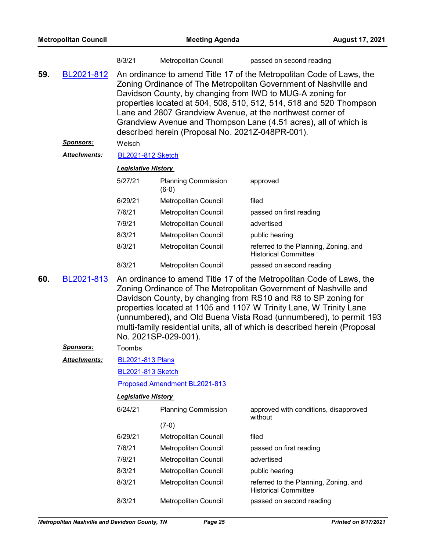| <b>Metropolitan Council</b> |                     |                                                                                                                                                                                                                                                                                                                                                                                                                                                                    | <b>Meeting Agenda</b><br><b>August 17, 2021</b> |                                                                      |  |  |  |
|-----------------------------|---------------------|--------------------------------------------------------------------------------------------------------------------------------------------------------------------------------------------------------------------------------------------------------------------------------------------------------------------------------------------------------------------------------------------------------------------------------------------------------------------|-------------------------------------------------|----------------------------------------------------------------------|--|--|--|
|                             |                     | 8/3/21                                                                                                                                                                                                                                                                                                                                                                                                                                                             | Metropolitan Council                            | passed on second reading                                             |  |  |  |
| 59.                         | BL2021-812          | An ordinance to amend Title 17 of the Metropolitan Code of Laws, the<br>Zoning Ordinance of The Metropolitan Government of Nashville and<br>Davidson County, by changing from IWD to MUG-A zoning for<br>properties located at 504, 508, 510, 512, 514, 518 and 520 Thompson<br>Lane and 2807 Grandview Avenue, at the northwest corner of<br>Grandview Avenue and Thompson Lane (4.51 acres), all of which is<br>described herein (Proposal No. 2021Z-048PR-001). |                                                 |                                                                      |  |  |  |
|                             | <b>Sponsors:</b>    | Welsch                                                                                                                                                                                                                                                                                                                                                                                                                                                             |                                                 |                                                                      |  |  |  |
|                             | Attachments:        | <b>BL2021-812 Sketch</b>                                                                                                                                                                                                                                                                                                                                                                                                                                           |                                                 |                                                                      |  |  |  |
|                             |                     | <b>Legislative History</b>                                                                                                                                                                                                                                                                                                                                                                                                                                         |                                                 |                                                                      |  |  |  |
|                             |                     | 5/27/21                                                                                                                                                                                                                                                                                                                                                                                                                                                            | <b>Planning Commission</b><br>$(6-0)$           | approved                                                             |  |  |  |
|                             |                     | 6/29/21                                                                                                                                                                                                                                                                                                                                                                                                                                                            | Metropolitan Council                            | filed                                                                |  |  |  |
|                             |                     | 7/6/21                                                                                                                                                                                                                                                                                                                                                                                                                                                             | Metropolitan Council                            | passed on first reading                                              |  |  |  |
|                             |                     | 7/9/21                                                                                                                                                                                                                                                                                                                                                                                                                                                             | Metropolitan Council                            | advertised                                                           |  |  |  |
|                             |                     | 8/3/21                                                                                                                                                                                                                                                                                                                                                                                                                                                             | <b>Metropolitan Council</b>                     | public hearing                                                       |  |  |  |
|                             |                     | 8/3/21                                                                                                                                                                                                                                                                                                                                                                                                                                                             | Metropolitan Council                            | referred to the Planning, Zoning, and<br><b>Historical Committee</b> |  |  |  |
|                             |                     | 8/3/21                                                                                                                                                                                                                                                                                                                                                                                                                                                             | Metropolitan Council                            | passed on second reading                                             |  |  |  |
| 60.                         | BL2021-813          | An ordinance to amend Title 17 of the Metropolitan Code of Laws, the<br>Zoning Ordinance of The Metropolitan Government of Nashville and<br>Davidson County, by changing from RS10 and R8 to SP zoning for<br>properties located at 1105 and 1107 W Trinity Lane, W Trinity Lane<br>(unnumbered), and Old Buena Vista Road (unnumbered), to permit 193<br>multi-family residential units, all of which is described herein (Proposal<br>No. 2021SP-029-001).       |                                                 |                                                                      |  |  |  |
|                             | <u>Sponsors:</u>    | Toombs                                                                                                                                                                                                                                                                                                                                                                                                                                                             |                                                 |                                                                      |  |  |  |
|                             | <b>Attachments:</b> |                                                                                                                                                                                                                                                                                                                                                                                                                                                                    | <b>BL2021-813 Plans</b>                         |                                                                      |  |  |  |
|                             |                     |                                                                                                                                                                                                                                                                                                                                                                                                                                                                    | <b>BL2021-813 Sketch</b>                        |                                                                      |  |  |  |
|                             |                     | Proposed Amendment BL2021-813                                                                                                                                                                                                                                                                                                                                                                                                                                      |                                                 |                                                                      |  |  |  |
|                             |                     | <b>Legislative History</b>                                                                                                                                                                                                                                                                                                                                                                                                                                         |                                                 |                                                                      |  |  |  |
|                             |                     | 6/24/21                                                                                                                                                                                                                                                                                                                                                                                                                                                            | <b>Planning Commission</b>                      | approved with conditions, disapproved<br>without                     |  |  |  |
|                             |                     |                                                                                                                                                                                                                                                                                                                                                                                                                                                                    | $(7-0)$                                         |                                                                      |  |  |  |
|                             |                     | 6/29/21                                                                                                                                                                                                                                                                                                                                                                                                                                                            | Metropolitan Council                            | filed                                                                |  |  |  |
|                             |                     | 7/6/21                                                                                                                                                                                                                                                                                                                                                                                                                                                             | Metropolitan Council                            | passed on first reading                                              |  |  |  |
|                             |                     | 7/9/21                                                                                                                                                                                                                                                                                                                                                                                                                                                             | Metropolitan Council                            | advertised                                                           |  |  |  |
|                             |                     | 8/3/21                                                                                                                                                                                                                                                                                                                                                                                                                                                             | Metropolitan Council                            | public hearing                                                       |  |  |  |
|                             |                     | 8/3/21                                                                                                                                                                                                                                                                                                                                                                                                                                                             | Metropolitan Council                            | referred to the Planning, Zoning, and<br><b>Historical Committee</b> |  |  |  |
|                             |                     | 8/3/21                                                                                                                                                                                                                                                                                                                                                                                                                                                             | Metropolitan Council                            | passed on second reading                                             |  |  |  |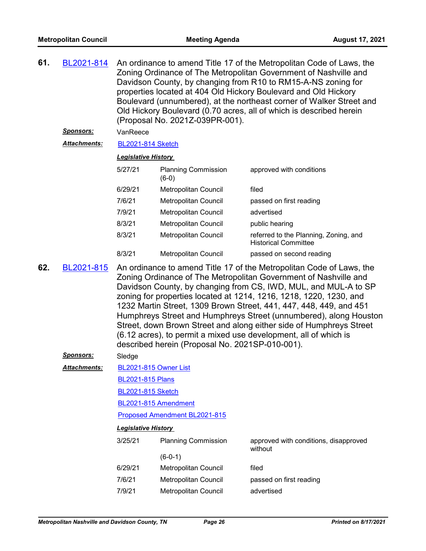| 61. | BL2021-814<br>Sponsors: | An ordinance to amend Title 17 of the Metropolitan Code of Laws, the<br>Zoning Ordinance of The Metropolitan Government of Nashville and<br>Davidson County, by changing from R10 to RM15-A-NS zoning for<br>properties located at 404 Old Hickory Boulevard and Old Hickory<br>Boulevard (unnumbered), at the northeast corner of Walker Street and<br>Old Hickory Boulevard (0.70 acres, all of which is described herein<br>(Proposal No. 2021Z-039PR-001).<br>VanReece                                                                                                                                                 |                                       |                                                                      |  |  |  |
|-----|-------------------------|----------------------------------------------------------------------------------------------------------------------------------------------------------------------------------------------------------------------------------------------------------------------------------------------------------------------------------------------------------------------------------------------------------------------------------------------------------------------------------------------------------------------------------------------------------------------------------------------------------------------------|---------------------------------------|----------------------------------------------------------------------|--|--|--|
|     | <b>Attachments:</b>     | <b>BL2021-814 Sketch</b>                                                                                                                                                                                                                                                                                                                                                                                                                                                                                                                                                                                                   |                                       |                                                                      |  |  |  |
|     |                         |                                                                                                                                                                                                                                                                                                                                                                                                                                                                                                                                                                                                                            | <b>Legislative History</b>            |                                                                      |  |  |  |
|     |                         | 5/27/21                                                                                                                                                                                                                                                                                                                                                                                                                                                                                                                                                                                                                    | <b>Planning Commission</b><br>$(6-0)$ | approved with conditions                                             |  |  |  |
|     |                         | 6/29/21                                                                                                                                                                                                                                                                                                                                                                                                                                                                                                                                                                                                                    | Metropolitan Council                  | filed                                                                |  |  |  |
|     |                         | 7/6/21                                                                                                                                                                                                                                                                                                                                                                                                                                                                                                                                                                                                                     | Metropolitan Council                  | passed on first reading                                              |  |  |  |
|     |                         | 7/9/21                                                                                                                                                                                                                                                                                                                                                                                                                                                                                                                                                                                                                     | Metropolitan Council                  | advertised                                                           |  |  |  |
|     |                         | 8/3/21                                                                                                                                                                                                                                                                                                                                                                                                                                                                                                                                                                                                                     | <b>Metropolitan Council</b>           | public hearing                                                       |  |  |  |
|     |                         | 8/3/21                                                                                                                                                                                                                                                                                                                                                                                                                                                                                                                                                                                                                     | Metropolitan Council                  | referred to the Planning, Zoning, and<br><b>Historical Committee</b> |  |  |  |
|     |                         | 8/3/21                                                                                                                                                                                                                                                                                                                                                                                                                                                                                                                                                                                                                     | <b>Metropolitan Council</b>           | passed on second reading                                             |  |  |  |
| 62. | BL2021-815              | An ordinance to amend Title 17 of the Metropolitan Code of Laws, the<br>Zoning Ordinance of The Metropolitan Government of Nashville and<br>Davidson County, by changing from CS, IWD, MUL, and MUL-A to SP<br>zoning for properties located at 1214, 1216, 1218, 1220, 1230, and<br>1232 Martin Street, 1309 Brown Street, 441, 447, 448, 449, and 451<br>Humphreys Street and Humphreys Street (unnumbered), along Houston<br>Street, down Brown Street and along either side of Humphreys Street<br>(6.12 acres), to permit a mixed use development, all of which is<br>described herein (Proposal No. 2021SP-010-001). |                                       |                                                                      |  |  |  |
|     | <u>Sponsors:</u>        | Sledge                                                                                                                                                                                                                                                                                                                                                                                                                                                                                                                                                                                                                     |                                       |                                                                      |  |  |  |
|     | <u> Attachments:</u>    | BL2021-815 Owner List                                                                                                                                                                                                                                                                                                                                                                                                                                                                                                                                                                                                      |                                       |                                                                      |  |  |  |
|     |                         | <b>BL2021-815 Plans</b>                                                                                                                                                                                                                                                                                                                                                                                                                                                                                                                                                                                                    |                                       |                                                                      |  |  |  |
|     |                         | <b>BL2021-815 Sketch</b>                                                                                                                                                                                                                                                                                                                                                                                                                                                                                                                                                                                                   |                                       |                                                                      |  |  |  |
|     |                         | BL2021-815 Amendment                                                                                                                                                                                                                                                                                                                                                                                                                                                                                                                                                                                                       |                                       |                                                                      |  |  |  |
|     |                         |                                                                                                                                                                                                                                                                                                                                                                                                                                                                                                                                                                                                                            | Proposed Amendment BL2021-815         |                                                                      |  |  |  |
|     |                         | <b>Legislative History</b>                                                                                                                                                                                                                                                                                                                                                                                                                                                                                                                                                                                                 |                                       |                                                                      |  |  |  |
|     |                         | 3/25/21                                                                                                                                                                                                                                                                                                                                                                                                                                                                                                                                                                                                                    | <b>Planning Commission</b>            | approved with conditions, disapproved<br>without                     |  |  |  |
|     |                         |                                                                                                                                                                                                                                                                                                                                                                                                                                                                                                                                                                                                                            | $(6-0-1)$                             |                                                                      |  |  |  |
|     |                         | 6/29/21                                                                                                                                                                                                                                                                                                                                                                                                                                                                                                                                                                                                                    | Metropolitan Council                  | filed                                                                |  |  |  |
|     |                         | 7/6/21                                                                                                                                                                                                                                                                                                                                                                                                                                                                                                                                                                                                                     | Metropolitan Council                  | passed on first reading                                              |  |  |  |
|     |                         | 7/9/21                                                                                                                                                                                                                                                                                                                                                                                                                                                                                                                                                                                                                     | Metropolitan Council<br>advertised    |                                                                      |  |  |  |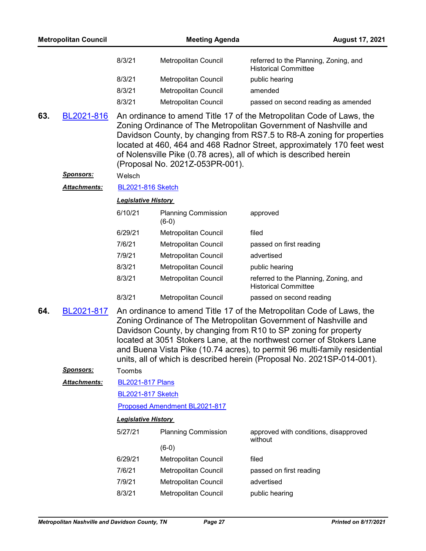| <b>Metropolitan Council</b>                                                                                                                                                                                                                                                                                                                                                                                                                                                                  |              |                                                                                                                                                                                                                                                                                                                                                                                                                                             | <b>Meeting Agenda</b>                        | <b>August 17, 2021</b>                                               |
|----------------------------------------------------------------------------------------------------------------------------------------------------------------------------------------------------------------------------------------------------------------------------------------------------------------------------------------------------------------------------------------------------------------------------------------------------------------------------------------------|--------------|---------------------------------------------------------------------------------------------------------------------------------------------------------------------------------------------------------------------------------------------------------------------------------------------------------------------------------------------------------------------------------------------------------------------------------------------|----------------------------------------------|----------------------------------------------------------------------|
|                                                                                                                                                                                                                                                                                                                                                                                                                                                                                              |              | 8/3/21                                                                                                                                                                                                                                                                                                                                                                                                                                      | Metropolitan Council                         | referred to the Planning, Zoning, and<br><b>Historical Committee</b> |
|                                                                                                                                                                                                                                                                                                                                                                                                                                                                                              |              | 8/3/21                                                                                                                                                                                                                                                                                                                                                                                                                                      | Metropolitan Council                         | public hearing                                                       |
|                                                                                                                                                                                                                                                                                                                                                                                                                                                                                              |              | 8/3/21                                                                                                                                                                                                                                                                                                                                                                                                                                      | Metropolitan Council                         | amended                                                              |
|                                                                                                                                                                                                                                                                                                                                                                                                                                                                                              |              | 8/3/21                                                                                                                                                                                                                                                                                                                                                                                                                                      | Metropolitan Council                         | passed on second reading as amended                                  |
| 63.<br>An ordinance to amend Title 17 of the Metropolitan Code of Laws, the<br>BL2021-816<br>Zoning Ordinance of The Metropolitan Government of Nashville and<br>Davidson County, by changing from RS7.5 to R8-A zoning for properties<br>located at 460, 464 and 468 Radnor Street, approximately 170 feet west<br>of Nolensville Pike (0.78 acres), all of which is described herein<br>(Proposal No. 2021Z-053PR-001).<br>Sponsors:<br>Welsch<br>Attachments:<br><b>BL2021-816 Sketch</b> |              |                                                                                                                                                                                                                                                                                                                                                                                                                                             |                                              |                                                                      |
|                                                                                                                                                                                                                                                                                                                                                                                                                                                                                              |              | <b>Legislative History</b>                                                                                                                                                                                                                                                                                                                                                                                                                  |                                              |                                                                      |
|                                                                                                                                                                                                                                                                                                                                                                                                                                                                                              |              | 6/10/21                                                                                                                                                                                                                                                                                                                                                                                                                                     | <b>Planning Commission</b><br>$(6-0)$        | approved                                                             |
|                                                                                                                                                                                                                                                                                                                                                                                                                                                                                              |              | 6/29/21                                                                                                                                                                                                                                                                                                                                                                                                                                     | Metropolitan Council                         | filed                                                                |
|                                                                                                                                                                                                                                                                                                                                                                                                                                                                                              |              | 7/6/21                                                                                                                                                                                                                                                                                                                                                                                                                                      | Metropolitan Council                         | passed on first reading                                              |
|                                                                                                                                                                                                                                                                                                                                                                                                                                                                                              |              | 7/9/21                                                                                                                                                                                                                                                                                                                                                                                                                                      | Metropolitan Council                         | advertised                                                           |
|                                                                                                                                                                                                                                                                                                                                                                                                                                                                                              |              | 8/3/21                                                                                                                                                                                                                                                                                                                                                                                                                                      | Metropolitan Council                         | public hearing                                                       |
|                                                                                                                                                                                                                                                                                                                                                                                                                                                                                              |              | 8/3/21                                                                                                                                                                                                                                                                                                                                                                                                                                      | Metropolitan Council                         | referred to the Planning, Zoning, and<br><b>Historical Committee</b> |
|                                                                                                                                                                                                                                                                                                                                                                                                                                                                                              |              | 8/3/21                                                                                                                                                                                                                                                                                                                                                                                                                                      | Metropolitan Council                         | passed on second reading                                             |
| 64.                                                                                                                                                                                                                                                                                                                                                                                                                                                                                          | BL2021-817   | An ordinance to amend Title 17 of the Metropolitan Code of Laws, the<br>Zoning Ordinance of The Metropolitan Government of Nashville and<br>Davidson County, by changing from R10 to SP zoning for property<br>located at 3051 Stokers Lane, at the northwest corner of Stokers Lane<br>and Buena Vista Pike (10.74 acres), to permit 96 multi-family residential<br>units, all of which is described herein (Proposal No. 2021SP-014-001). |                                              |                                                                      |
|                                                                                                                                                                                                                                                                                                                                                                                                                                                                                              | Sponsors:    | Toombs                                                                                                                                                                                                                                                                                                                                                                                                                                      |                                              |                                                                      |
|                                                                                                                                                                                                                                                                                                                                                                                                                                                                                              | Attachments: | <b>BL2021-817 Plans</b>                                                                                                                                                                                                                                                                                                                                                                                                                     |                                              |                                                                      |
|                                                                                                                                                                                                                                                                                                                                                                                                                                                                                              |              | <b>BL2021-817 Sketch</b>                                                                                                                                                                                                                                                                                                                                                                                                                    |                                              |                                                                      |
|                                                                                                                                                                                                                                                                                                                                                                                                                                                                                              |              |                                                                                                                                                                                                                                                                                                                                                                                                                                             | Proposed Amendment BL2021-817                |                                                                      |
|                                                                                                                                                                                                                                                                                                                                                                                                                                                                                              |              | <b>Legislative History</b>                                                                                                                                                                                                                                                                                                                                                                                                                  |                                              |                                                                      |
|                                                                                                                                                                                                                                                                                                                                                                                                                                                                                              |              | 5/27/21                                                                                                                                                                                                                                                                                                                                                                                                                                     | <b>Planning Commission</b>                   | approved with conditions, disapproved<br>without                     |
|                                                                                                                                                                                                                                                                                                                                                                                                                                                                                              |              |                                                                                                                                                                                                                                                                                                                                                                                                                                             | $(6-0)$                                      |                                                                      |
|                                                                                                                                                                                                                                                                                                                                                                                                                                                                                              |              | 6/29/21                                                                                                                                                                                                                                                                                                                                                                                                                                     | Metropolitan Council                         | filed                                                                |
|                                                                                                                                                                                                                                                                                                                                                                                                                                                                                              |              | 7/6/21                                                                                                                                                                                                                                                                                                                                                                                                                                      | Metropolitan Council                         | passed on first reading<br>advertised                                |
|                                                                                                                                                                                                                                                                                                                                                                                                                                                                                              |              | 7/9/21<br>8/3/21                                                                                                                                                                                                                                                                                                                                                                                                                            | Metropolitan Council<br>Metropolitan Council | public hearing                                                       |
|                                                                                                                                                                                                                                                                                                                                                                                                                                                                                              |              |                                                                                                                                                                                                                                                                                                                                                                                                                                             |                                              |                                                                      |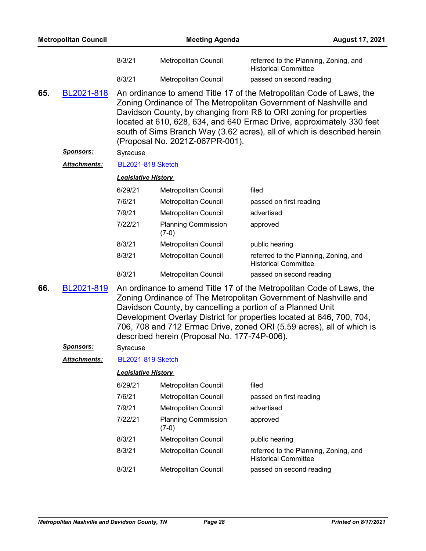| <b>Metropolitan Council</b> |                     |                            | <b>Meeting Agenda</b><br><b>August 17, 2021</b> |                                                                                                                                                                                                                                                                                                                                                                   |  |  |  |
|-----------------------------|---------------------|----------------------------|-------------------------------------------------|-------------------------------------------------------------------------------------------------------------------------------------------------------------------------------------------------------------------------------------------------------------------------------------------------------------------------------------------------------------------|--|--|--|
|                             |                     | 8/3/21                     | Metropolitan Council                            | referred to the Planning, Zoning, and<br><b>Historical Committee</b>                                                                                                                                                                                                                                                                                              |  |  |  |
|                             |                     | 8/3/21                     | Metropolitan Council                            | passed on second reading                                                                                                                                                                                                                                                                                                                                          |  |  |  |
| 65.                         | BL2021-818          |                            | (Proposal No. 2021Z-067PR-001).                 | An ordinance to amend Title 17 of the Metropolitan Code of Laws, the<br>Zoning Ordinance of The Metropolitan Government of Nashville and<br>Davidson County, by changing from R8 to ORI zoning for properties<br>located at 610, 628, 634, and 640 Ermac Drive, approximately 330 feet<br>south of Sims Branch Way (3.62 acres), all of which is described herein |  |  |  |
|                             | Sponsors:           | Syracuse                   |                                                 |                                                                                                                                                                                                                                                                                                                                                                   |  |  |  |
|                             | <b>Attachments:</b> |                            | <b>BL2021-818 Sketch</b>                        |                                                                                                                                                                                                                                                                                                                                                                   |  |  |  |
| <b>Legislative History</b>  |                     |                            |                                                 |                                                                                                                                                                                                                                                                                                                                                                   |  |  |  |
|                             |                     | 6/29/21                    | Metropolitan Council                            | filed                                                                                                                                                                                                                                                                                                                                                             |  |  |  |
|                             |                     | 7/6/21                     | <b>Metropolitan Council</b>                     | passed on first reading                                                                                                                                                                                                                                                                                                                                           |  |  |  |
|                             |                     | 7/9/21                     | Metropolitan Council                            | advertised                                                                                                                                                                                                                                                                                                                                                        |  |  |  |
|                             |                     | 7/22/21                    | <b>Planning Commission</b><br>$(7-0)$           | approved                                                                                                                                                                                                                                                                                                                                                          |  |  |  |
|                             |                     | 8/3/21                     | Metropolitan Council                            | public hearing                                                                                                                                                                                                                                                                                                                                                    |  |  |  |
|                             |                     | 8/3/21                     | Metropolitan Council                            | referred to the Planning, Zoning, and<br><b>Historical Committee</b>                                                                                                                                                                                                                                                                                              |  |  |  |
|                             |                     | 8/3/21                     | Metropolitan Council                            | passed on second reading                                                                                                                                                                                                                                                                                                                                          |  |  |  |
| 66.                         | BL2021-819          |                            | described herein (Proposal No. 177-74P-006).    | An ordinance to amend Title 17 of the Metropolitan Code of Laws, the<br>Zoning Ordinance of The Metropolitan Government of Nashville and<br>Davidson County, by cancelling a portion of a Planned Unit<br>Development Overlay District for properties located at 646, 700, 704,<br>706, 708 and 712 Ermac Drive, zoned ORI (5.59 acres), all of which is          |  |  |  |
|                             | <u>Sponsors:</u>    | Syracuse                   |                                                 |                                                                                                                                                                                                                                                                                                                                                                   |  |  |  |
|                             | <u>Attachments:</u> | <b>BL2021-819 Sketch</b>   |                                                 |                                                                                                                                                                                                                                                                                                                                                                   |  |  |  |
|                             |                     | <b>Legislative History</b> |                                                 |                                                                                                                                                                                                                                                                                                                                                                   |  |  |  |
|                             |                     | 6/29/21                    | Metropolitan Council                            | filed                                                                                                                                                                                                                                                                                                                                                             |  |  |  |
|                             |                     | 7/6/21                     | Metropolitan Council                            | passed on first reading                                                                                                                                                                                                                                                                                                                                           |  |  |  |
|                             |                     | 7/9/21                     | Metropolitan Council                            | advertised                                                                                                                                                                                                                                                                                                                                                        |  |  |  |
|                             |                     | 7/22/21                    | <b>Planning Commission</b><br>$(7-0)$           | approved                                                                                                                                                                                                                                                                                                                                                          |  |  |  |
|                             |                     | 8/3/21                     | Metropolitan Council                            | public hearing                                                                                                                                                                                                                                                                                                                                                    |  |  |  |
|                             |                     | 8/3/21                     | Metropolitan Council                            | referred to the Planning, Zoning, and<br><b>Historical Committee</b>                                                                                                                                                                                                                                                                                              |  |  |  |
|                             |                     | 8/3/21                     | Metropolitan Council                            | passed on second reading                                                                                                                                                                                                                                                                                                                                          |  |  |  |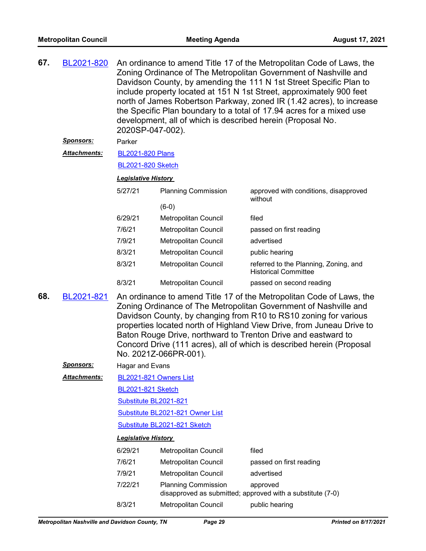| 67. | BL2021-820          | An ordinance to amend Title 17 of the Metropolitan Code of Laws, the<br>Zoning Ordinance of The Metropolitan Government of Nashville and<br>Davidson County, by amending the 111 N 1st Street Specific Plan to<br>include property located at 151 N 1st Street, approximately 900 feet<br>north of James Robertson Parkway, zoned IR (1.42 acres), to increase<br>the Specific Plan boundary to a total of 17.94 acres for a mixed use<br>development, all of which is described herein (Proposal No.<br>2020SP-047-002). |                                  |                                                                        |  |  |
|-----|---------------------|---------------------------------------------------------------------------------------------------------------------------------------------------------------------------------------------------------------------------------------------------------------------------------------------------------------------------------------------------------------------------------------------------------------------------------------------------------------------------------------------------------------------------|----------------------------------|------------------------------------------------------------------------|--|--|
|     | Sponsors:           | Parker                                                                                                                                                                                                                                                                                                                                                                                                                                                                                                                    |                                  |                                                                        |  |  |
|     | <b>Attachments:</b> | <b>BL2021-820 Plans</b>                                                                                                                                                                                                                                                                                                                                                                                                                                                                                                   |                                  |                                                                        |  |  |
|     |                     | <b>BL2021-820 Sketch</b>                                                                                                                                                                                                                                                                                                                                                                                                                                                                                                  |                                  |                                                                        |  |  |
|     |                     | <b>Legislative History</b>                                                                                                                                                                                                                                                                                                                                                                                                                                                                                                |                                  |                                                                        |  |  |
|     |                     | 5/27/21                                                                                                                                                                                                                                                                                                                                                                                                                                                                                                                   | <b>Planning Commission</b>       | approved with conditions, disapproved<br>without                       |  |  |
|     |                     |                                                                                                                                                                                                                                                                                                                                                                                                                                                                                                                           | $(6-0)$                          |                                                                        |  |  |
|     |                     | 6/29/21                                                                                                                                                                                                                                                                                                                                                                                                                                                                                                                   | Metropolitan Council             | filed                                                                  |  |  |
|     |                     | 7/6/21                                                                                                                                                                                                                                                                                                                                                                                                                                                                                                                    | Metropolitan Council             | passed on first reading                                                |  |  |
|     |                     | 7/9/21                                                                                                                                                                                                                                                                                                                                                                                                                                                                                                                    | Metropolitan Council             | advertised                                                             |  |  |
|     |                     | 8/3/21                                                                                                                                                                                                                                                                                                                                                                                                                                                                                                                    | Metropolitan Council             | public hearing                                                         |  |  |
|     |                     | 8/3/21                                                                                                                                                                                                                                                                                                                                                                                                                                                                                                                    | Metropolitan Council             | referred to the Planning, Zoning, and<br><b>Historical Committee</b>   |  |  |
|     |                     | 8/3/21                                                                                                                                                                                                                                                                                                                                                                                                                                                                                                                    | Metropolitan Council             | passed on second reading                                               |  |  |
| 68. | BL2021-821          | An ordinance to amend Title 17 of the Metropolitan Code of Laws, the<br>Zoning Ordinance of The Metropolitan Government of Nashville and<br>Davidson County, by changing from R10 to RS10 zoning for various<br>properties located north of Highland View Drive, from Juneau Drive to<br>Baton Rouge Drive, northward to Trenton Drive and eastward to<br>Concord Drive (111 acres), all of which is described herein (Proposal<br>No. 2021Z-066PR-001).                                                                  |                                  |                                                                        |  |  |
|     | Sponsors:           | Hagar and Evans                                                                                                                                                                                                                                                                                                                                                                                                                                                                                                           |                                  |                                                                        |  |  |
|     | <b>Attachments:</b> | BL2021-821 Owners List                                                                                                                                                                                                                                                                                                                                                                                                                                                                                                    |                                  |                                                                        |  |  |
|     |                     | <b>BL2021-821 Sketch</b>                                                                                                                                                                                                                                                                                                                                                                                                                                                                                                  |                                  |                                                                        |  |  |
|     |                     | Substitute BL2021-821                                                                                                                                                                                                                                                                                                                                                                                                                                                                                                     |                                  |                                                                        |  |  |
|     |                     |                                                                                                                                                                                                                                                                                                                                                                                                                                                                                                                           | Substitute BL2021-821 Owner List |                                                                        |  |  |
|     |                     |                                                                                                                                                                                                                                                                                                                                                                                                                                                                                                                           | Substitute BL2021-821 Sketch     |                                                                        |  |  |
|     |                     | <b>Legislative History</b>                                                                                                                                                                                                                                                                                                                                                                                                                                                                                                |                                  |                                                                        |  |  |
|     |                     | 6/29/21                                                                                                                                                                                                                                                                                                                                                                                                                                                                                                                   | Metropolitan Council             | filed                                                                  |  |  |
|     |                     | 7/6/21                                                                                                                                                                                                                                                                                                                                                                                                                                                                                                                    | Metropolitan Council             | passed on first reading                                                |  |  |
|     |                     | 7/9/21                                                                                                                                                                                                                                                                                                                                                                                                                                                                                                                    | Metropolitan Council             | advertised                                                             |  |  |
|     |                     | 7/22/21                                                                                                                                                                                                                                                                                                                                                                                                                                                                                                                   | <b>Planning Commission</b>       | approved<br>disapproved as submitted; approved with a substitute (7-0) |  |  |

8/3/21 Metropolitan Council public hearing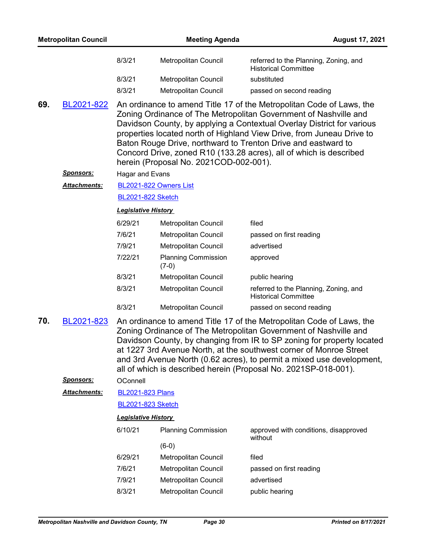| <b>Metropolitan Council</b> |                      |                                                                                                                                                                                                                                                                                                                                                                                                                                                                              | <b>Meeting Agenda</b><br><b>August 17, 2021</b> |                                                                      |  |  |
|-----------------------------|----------------------|------------------------------------------------------------------------------------------------------------------------------------------------------------------------------------------------------------------------------------------------------------------------------------------------------------------------------------------------------------------------------------------------------------------------------------------------------------------------------|-------------------------------------------------|----------------------------------------------------------------------|--|--|
|                             |                      | 8/3/21                                                                                                                                                                                                                                                                                                                                                                                                                                                                       | Metropolitan Council                            | referred to the Planning, Zoning, and<br><b>Historical Committee</b> |  |  |
|                             |                      | 8/3/21                                                                                                                                                                                                                                                                                                                                                                                                                                                                       | Metropolitan Council                            | substituted                                                          |  |  |
|                             |                      | 8/3/21                                                                                                                                                                                                                                                                                                                                                                                                                                                                       | Metropolitan Council                            | passed on second reading                                             |  |  |
| 69.                         | BL2021-822           | An ordinance to amend Title 17 of the Metropolitan Code of Laws, the<br>Zoning Ordinance of The Metropolitan Government of Nashville and<br>Davidson County, by applying a Contextual Overlay District for various<br>properties located north of Highland View Drive, from Juneau Drive to<br>Baton Rouge Drive, northward to Trenton Drive and eastward to<br>Concord Drive, zoned R10 (133.28 acres), all of which is described<br>herein (Proposal No. 2021COD-002-001). |                                                 |                                                                      |  |  |
|                             | <b>Sponsors:</b>     | <b>Hagar and Evans</b>                                                                                                                                                                                                                                                                                                                                                                                                                                                       |                                                 |                                                                      |  |  |
|                             | Attachments:         |                                                                                                                                                                                                                                                                                                                                                                                                                                                                              | BL2021-822 Owners List                          |                                                                      |  |  |
|                             |                      | <b>BL2021-822 Sketch</b>                                                                                                                                                                                                                                                                                                                                                                                                                                                     |                                                 |                                                                      |  |  |
|                             |                      | <b>Legislative History</b>                                                                                                                                                                                                                                                                                                                                                                                                                                                   |                                                 |                                                                      |  |  |
|                             |                      | 6/29/21                                                                                                                                                                                                                                                                                                                                                                                                                                                                      | Metropolitan Council                            | filed                                                                |  |  |
|                             |                      | 7/6/21                                                                                                                                                                                                                                                                                                                                                                                                                                                                       | Metropolitan Council                            | passed on first reading                                              |  |  |
|                             |                      | 7/9/21                                                                                                                                                                                                                                                                                                                                                                                                                                                                       | Metropolitan Council                            | advertised                                                           |  |  |
|                             |                      | 7/22/21                                                                                                                                                                                                                                                                                                                                                                                                                                                                      | <b>Planning Commission</b><br>$(7-0)$           | approved                                                             |  |  |
|                             |                      | 8/3/21                                                                                                                                                                                                                                                                                                                                                                                                                                                                       | Metropolitan Council                            | public hearing                                                       |  |  |
|                             |                      | 8/3/21                                                                                                                                                                                                                                                                                                                                                                                                                                                                       | Metropolitan Council                            | referred to the Planning, Zoning, and<br><b>Historical Committee</b> |  |  |
|                             |                      | 8/3/21                                                                                                                                                                                                                                                                                                                                                                                                                                                                       | <b>Metropolitan Council</b>                     | passed on second reading                                             |  |  |
| 70.                         | BL2021-823           | An ordinance to amend Title 17 of the Metropolitan Code of Laws, the<br>Zoning Ordinance of The Metropolitan Government of Nashville and<br>Davidson County, by changing from IR to SP zoning for property located<br>at 1227 3rd Avenue North, at the southwest corner of Monroe Street<br>and 3rd Avenue North (0.62 acres), to permit a mixed use development,                                                                                                            |                                                 | all of which is described herein (Proposal No. 2021SP-018-001).      |  |  |
|                             | <u>Sponsors:</u>     | OConnell                                                                                                                                                                                                                                                                                                                                                                                                                                                                     |                                                 |                                                                      |  |  |
|                             | <u> Attachments:</u> | <b>BL2021-823 Plans</b>                                                                                                                                                                                                                                                                                                                                                                                                                                                      |                                                 |                                                                      |  |  |
|                             |                      | <b>BL2021-823 Sketch</b>                                                                                                                                                                                                                                                                                                                                                                                                                                                     |                                                 |                                                                      |  |  |
|                             |                      | <b>Legislative History</b>                                                                                                                                                                                                                                                                                                                                                                                                                                                   |                                                 |                                                                      |  |  |
|                             |                      | 6/10/21                                                                                                                                                                                                                                                                                                                                                                                                                                                                      | <b>Planning Commission</b>                      | approved with conditions, disapproved<br>without                     |  |  |
|                             |                      |                                                                                                                                                                                                                                                                                                                                                                                                                                                                              | $(6-0)$                                         |                                                                      |  |  |
|                             |                      | 6/29/21                                                                                                                                                                                                                                                                                                                                                                                                                                                                      | Metropolitan Council                            | filed                                                                |  |  |
|                             |                      | 7/6/21                                                                                                                                                                                                                                                                                                                                                                                                                                                                       | Metropolitan Council                            | passed on first reading                                              |  |  |
|                             |                      | 7/9/21                                                                                                                                                                                                                                                                                                                                                                                                                                                                       | Metropolitan Council                            | advertised                                                           |  |  |
|                             |                      | 8/3/21                                                                                                                                                                                                                                                                                                                                                                                                                                                                       | Metropolitan Council                            | public hearing                                                       |  |  |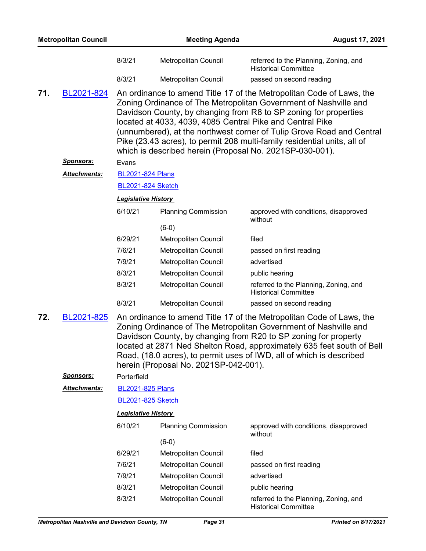| <b>Metropolitan Council</b>                                                                                                                                                                                                                                                                                                                                                                                                 |                     |                            | <b>Meeting Agenda</b><br><b>August 17, 2021</b> |                                                                                                                                                                                                                                                                                                                                                                                                                                                                                            |  |
|-----------------------------------------------------------------------------------------------------------------------------------------------------------------------------------------------------------------------------------------------------------------------------------------------------------------------------------------------------------------------------------------------------------------------------|---------------------|----------------------------|-------------------------------------------------|--------------------------------------------------------------------------------------------------------------------------------------------------------------------------------------------------------------------------------------------------------------------------------------------------------------------------------------------------------------------------------------------------------------------------------------------------------------------------------------------|--|
|                                                                                                                                                                                                                                                                                                                                                                                                                             |                     | 8/3/21                     | Metropolitan Council                            | referred to the Planning, Zoning, and<br><b>Historical Committee</b>                                                                                                                                                                                                                                                                                                                                                                                                                       |  |
|                                                                                                                                                                                                                                                                                                                                                                                                                             |                     | 8/3/21                     | Metropolitan Council                            | passed on second reading                                                                                                                                                                                                                                                                                                                                                                                                                                                                   |  |
| 71.                                                                                                                                                                                                                                                                                                                                                                                                                         | BL2021-824          |                            |                                                 | An ordinance to amend Title 17 of the Metropolitan Code of Laws, the<br>Zoning Ordinance of The Metropolitan Government of Nashville and<br>Davidson County, by changing from R8 to SP zoning for properties<br>located at 4033, 4039, 4085 Central Pike and Central Pike<br>(unnumbered), at the northwest corner of Tulip Grove Road and Central<br>Pike (23.43 acres), to permit 208 multi-family residential units, all of<br>which is described herein (Proposal No. 2021SP-030-001). |  |
|                                                                                                                                                                                                                                                                                                                                                                                                                             | <u>Sponsors:</u>    | Evans                      |                                                 |                                                                                                                                                                                                                                                                                                                                                                                                                                                                                            |  |
|                                                                                                                                                                                                                                                                                                                                                                                                                             | Attachments:        | <b>BL2021-824 Plans</b>    |                                                 |                                                                                                                                                                                                                                                                                                                                                                                                                                                                                            |  |
| <b>BL2021-824 Sketch</b>                                                                                                                                                                                                                                                                                                                                                                                                    |                     |                            |                                                 |                                                                                                                                                                                                                                                                                                                                                                                                                                                                                            |  |
|                                                                                                                                                                                                                                                                                                                                                                                                                             |                     | <b>Legislative History</b> |                                                 |                                                                                                                                                                                                                                                                                                                                                                                                                                                                                            |  |
|                                                                                                                                                                                                                                                                                                                                                                                                                             |                     | 6/10/21                    | <b>Planning Commission</b>                      | approved with conditions, disapproved<br>without                                                                                                                                                                                                                                                                                                                                                                                                                                           |  |
|                                                                                                                                                                                                                                                                                                                                                                                                                             |                     |                            | $(6-0)$                                         |                                                                                                                                                                                                                                                                                                                                                                                                                                                                                            |  |
|                                                                                                                                                                                                                                                                                                                                                                                                                             |                     | 6/29/21                    | Metropolitan Council                            | filed                                                                                                                                                                                                                                                                                                                                                                                                                                                                                      |  |
|                                                                                                                                                                                                                                                                                                                                                                                                                             |                     | 7/6/21                     | Metropolitan Council                            | passed on first reading                                                                                                                                                                                                                                                                                                                                                                                                                                                                    |  |
|                                                                                                                                                                                                                                                                                                                                                                                                                             |                     | 7/9/21                     | Metropolitan Council                            | advertised                                                                                                                                                                                                                                                                                                                                                                                                                                                                                 |  |
|                                                                                                                                                                                                                                                                                                                                                                                                                             |                     | 8/3/21                     | Metropolitan Council                            | public hearing                                                                                                                                                                                                                                                                                                                                                                                                                                                                             |  |
|                                                                                                                                                                                                                                                                                                                                                                                                                             |                     | 8/3/21                     | Metropolitan Council                            | referred to the Planning, Zoning, and<br><b>Historical Committee</b>                                                                                                                                                                                                                                                                                                                                                                                                                       |  |
|                                                                                                                                                                                                                                                                                                                                                                                                                             |                     | 8/3/21                     | Metropolitan Council                            | passed on second reading                                                                                                                                                                                                                                                                                                                                                                                                                                                                   |  |
| 72.<br>BL2021-825<br>An ordinance to amend Title 17 of the Metropolitan Code of Laws, the<br>Zoning Ordinance of The Metropolitan Government of Nashville and<br>Davidson County, by changing from R20 to SP zoning for property<br>located at 2871 Ned Shelton Road, approximately 635 feet south of Bell<br>Road, (18.0 acres), to permit uses of IWD, all of which is described<br>herein (Proposal No. 2021SP-042-001). |                     |                            |                                                 |                                                                                                                                                                                                                                                                                                                                                                                                                                                                                            |  |
|                                                                                                                                                                                                                                                                                                                                                                                                                             | <u>Sponsors:</u>    | Porterfield                |                                                 |                                                                                                                                                                                                                                                                                                                                                                                                                                                                                            |  |
|                                                                                                                                                                                                                                                                                                                                                                                                                             | <b>Attachments:</b> | <b>BL2021-825 Plans</b>    |                                                 |                                                                                                                                                                                                                                                                                                                                                                                                                                                                                            |  |
|                                                                                                                                                                                                                                                                                                                                                                                                                             |                     | <b>BL2021-825 Sketch</b>   |                                                 |                                                                                                                                                                                                                                                                                                                                                                                                                                                                                            |  |
|                                                                                                                                                                                                                                                                                                                                                                                                                             |                     | <b>Legislative History</b> |                                                 |                                                                                                                                                                                                                                                                                                                                                                                                                                                                                            |  |
|                                                                                                                                                                                                                                                                                                                                                                                                                             |                     | 6/10/21                    | <b>Planning Commission</b>                      | approved with conditions, disapproved<br>without                                                                                                                                                                                                                                                                                                                                                                                                                                           |  |
|                                                                                                                                                                                                                                                                                                                                                                                                                             |                     |                            | $(6-0)$                                         |                                                                                                                                                                                                                                                                                                                                                                                                                                                                                            |  |
|                                                                                                                                                                                                                                                                                                                                                                                                                             |                     | 6/29/21                    | Metropolitan Council                            | filed                                                                                                                                                                                                                                                                                                                                                                                                                                                                                      |  |
|                                                                                                                                                                                                                                                                                                                                                                                                                             |                     | 7/6/21                     | Metropolitan Council                            | passed on first reading                                                                                                                                                                                                                                                                                                                                                                                                                                                                    |  |
|                                                                                                                                                                                                                                                                                                                                                                                                                             |                     | 7/9/21                     | Metropolitan Council                            | advertised                                                                                                                                                                                                                                                                                                                                                                                                                                                                                 |  |
|                                                                                                                                                                                                                                                                                                                                                                                                                             |                     | 8/3/21                     | Metropolitan Council                            | public hearing                                                                                                                                                                                                                                                                                                                                                                                                                                                                             |  |
|                                                                                                                                                                                                                                                                                                                                                                                                                             |                     | 8/3/21                     | Metropolitan Council                            | referred to the Planning, Zoning, and<br><b>Historical Committee</b>                                                                                                                                                                                                                                                                                                                                                                                                                       |  |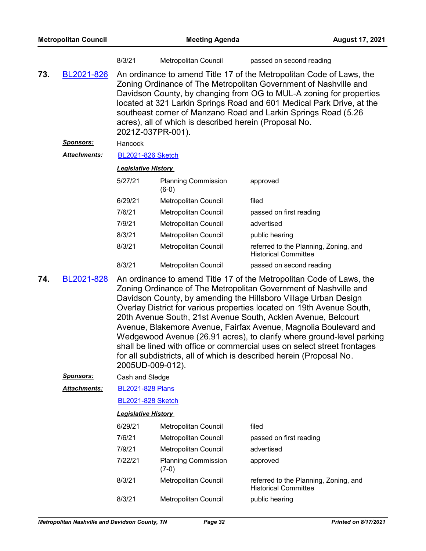|     |                     | 8/3/21                                                                                                                                                                                                                                                                                                                                                                                                                                    | <b>Metropolitan Council</b>                                                                                                                                                                                                                                                                                                                                                                                                                                                                                                                                                                                                                            | passed on second reading                                             |  |  |  |
|-----|---------------------|-------------------------------------------------------------------------------------------------------------------------------------------------------------------------------------------------------------------------------------------------------------------------------------------------------------------------------------------------------------------------------------------------------------------------------------------|--------------------------------------------------------------------------------------------------------------------------------------------------------------------------------------------------------------------------------------------------------------------------------------------------------------------------------------------------------------------------------------------------------------------------------------------------------------------------------------------------------------------------------------------------------------------------------------------------------------------------------------------------------|----------------------------------------------------------------------|--|--|--|
| 73. | BL2021-826          | An ordinance to amend Title 17 of the Metropolitan Code of Laws, the<br>Zoning Ordinance of The Metropolitan Government of Nashville and<br>Davidson County, by changing from OG to MUL-A zoning for properties<br>located at 321 Larkin Springs Road and 601 Medical Park Drive, at the<br>southeast corner of Manzano Road and Larkin Springs Road (5.26<br>acres), all of which is described herein (Proposal No.<br>2021Z-037PR-001). |                                                                                                                                                                                                                                                                                                                                                                                                                                                                                                                                                                                                                                                        |                                                                      |  |  |  |
|     | <u>Sponsors:</u>    | Hancock                                                                                                                                                                                                                                                                                                                                                                                                                                   |                                                                                                                                                                                                                                                                                                                                                                                                                                                                                                                                                                                                                                                        |                                                                      |  |  |  |
|     | <b>Attachments:</b> | <b>BL2021-826 Sketch</b>                                                                                                                                                                                                                                                                                                                                                                                                                  |                                                                                                                                                                                                                                                                                                                                                                                                                                                                                                                                                                                                                                                        |                                                                      |  |  |  |
|     |                     | <b>Legislative History</b>                                                                                                                                                                                                                                                                                                                                                                                                                |                                                                                                                                                                                                                                                                                                                                                                                                                                                                                                                                                                                                                                                        |                                                                      |  |  |  |
|     |                     | 5/27/21                                                                                                                                                                                                                                                                                                                                                                                                                                   | <b>Planning Commission</b><br>$(6-0)$                                                                                                                                                                                                                                                                                                                                                                                                                                                                                                                                                                                                                  | approved                                                             |  |  |  |
|     |                     | 6/29/21                                                                                                                                                                                                                                                                                                                                                                                                                                   | Metropolitan Council                                                                                                                                                                                                                                                                                                                                                                                                                                                                                                                                                                                                                                   | filed                                                                |  |  |  |
|     |                     | 7/6/21                                                                                                                                                                                                                                                                                                                                                                                                                                    | <b>Metropolitan Council</b>                                                                                                                                                                                                                                                                                                                                                                                                                                                                                                                                                                                                                            | passed on first reading                                              |  |  |  |
|     |                     | 7/9/21                                                                                                                                                                                                                                                                                                                                                                                                                                    | Metropolitan Council                                                                                                                                                                                                                                                                                                                                                                                                                                                                                                                                                                                                                                   | advertised                                                           |  |  |  |
|     |                     | 8/3/21                                                                                                                                                                                                                                                                                                                                                                                                                                    | Metropolitan Council                                                                                                                                                                                                                                                                                                                                                                                                                                                                                                                                                                                                                                   | public hearing                                                       |  |  |  |
|     |                     | 8/3/21                                                                                                                                                                                                                                                                                                                                                                                                                                    | <b>Metropolitan Council</b>                                                                                                                                                                                                                                                                                                                                                                                                                                                                                                                                                                                                                            | referred to the Planning, Zoning, and<br><b>Historical Committee</b> |  |  |  |
|     |                     | 8/3/21                                                                                                                                                                                                                                                                                                                                                                                                                                    | Metropolitan Council                                                                                                                                                                                                                                                                                                                                                                                                                                                                                                                                                                                                                                   | passed on second reading                                             |  |  |  |
| 74. | BL2021-828          | 2005UD-009-012).                                                                                                                                                                                                                                                                                                                                                                                                                          | An ordinance to amend Title 17 of the Metropolitan Code of Laws, the<br>Zoning Ordinance of The Metropolitan Government of Nashville and<br>Davidson County, by amending the Hillsboro Village Urban Design<br>Overlay District for various properties located on 19th Avenue South,<br>20th Avenue South, 21st Avenue South, Acklen Avenue, Belcourt<br>Avenue, Blakemore Avenue, Fairfax Avenue, Magnolia Boulevard and<br>Wedgewood Avenue (26.91 acres), to clarify where ground-level parking<br>shall be lined with office or commercial uses on select street frontages<br>for all subdistricts, all of which is described herein (Proposal No. |                                                                      |  |  |  |
|     | <u>Sponsors:</u>    | Cash and Sledge                                                                                                                                                                                                                                                                                                                                                                                                                           |                                                                                                                                                                                                                                                                                                                                                                                                                                                                                                                                                                                                                                                        |                                                                      |  |  |  |
|     | Attachments:        | <b>BL2021-828 Plans</b>                                                                                                                                                                                                                                                                                                                                                                                                                   |                                                                                                                                                                                                                                                                                                                                                                                                                                                                                                                                                                                                                                                        |                                                                      |  |  |  |
|     |                     | <b>BL2021-828 Sketch</b>                                                                                                                                                                                                                                                                                                                                                                                                                  |                                                                                                                                                                                                                                                                                                                                                                                                                                                                                                                                                                                                                                                        |                                                                      |  |  |  |
|     |                     | <b>Legislative History</b>                                                                                                                                                                                                                                                                                                                                                                                                                |                                                                                                                                                                                                                                                                                                                                                                                                                                                                                                                                                                                                                                                        |                                                                      |  |  |  |
|     |                     | 6/29/21                                                                                                                                                                                                                                                                                                                                                                                                                                   | Metropolitan Council                                                                                                                                                                                                                                                                                                                                                                                                                                                                                                                                                                                                                                   | filed                                                                |  |  |  |
|     |                     | 7/6/21                                                                                                                                                                                                                                                                                                                                                                                                                                    | <b>Metropolitan Council</b>                                                                                                                                                                                                                                                                                                                                                                                                                                                                                                                                                                                                                            | passed on first reading                                              |  |  |  |
|     |                     | 7/9/21                                                                                                                                                                                                                                                                                                                                                                                                                                    | Metropolitan Council                                                                                                                                                                                                                                                                                                                                                                                                                                                                                                                                                                                                                                   | advertised                                                           |  |  |  |
|     |                     | 7/22/21                                                                                                                                                                                                                                                                                                                                                                                                                                   | <b>Planning Commission</b><br>$(7-0)$                                                                                                                                                                                                                                                                                                                                                                                                                                                                                                                                                                                                                  | approved                                                             |  |  |  |
|     |                     | 8/3/21                                                                                                                                                                                                                                                                                                                                                                                                                                    | Metropolitan Council                                                                                                                                                                                                                                                                                                                                                                                                                                                                                                                                                                                                                                   | referred to the Planning, Zoning, and<br><b>Historical Committee</b> |  |  |  |

8/3/21 Metropolitan Council public hearing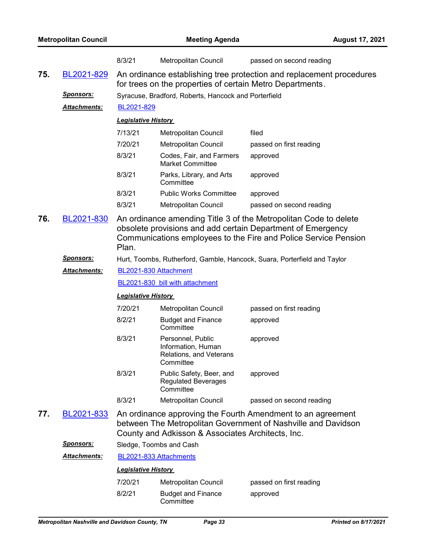| <b>Metropolitan Council</b> |                     |                                                                                                                                                                                                             | <b>August 17, 2021</b>                                                          |                                                                          |  |  |  |
|-----------------------------|---------------------|-------------------------------------------------------------------------------------------------------------------------------------------------------------------------------------------------------------|---------------------------------------------------------------------------------|--------------------------------------------------------------------------|--|--|--|
|                             |                     | 8/3/21                                                                                                                                                                                                      | <b>Metropolitan Council</b>                                                     | passed on second reading                                                 |  |  |  |
| 75.                         | BL2021-829          | An ordinance establishing tree protection and replacement procedures<br>for trees on the properties of certain Metro Departments.                                                                           |                                                                                 |                                                                          |  |  |  |
|                             | <u>Sponsors:</u>    | Syracuse, Bradford, Roberts, Hancock and Porterfield                                                                                                                                                        |                                                                                 |                                                                          |  |  |  |
|                             | <b>Attachments:</b> | BL2021-829                                                                                                                                                                                                  |                                                                                 |                                                                          |  |  |  |
|                             |                     | <b>Legislative History</b>                                                                                                                                                                                  |                                                                                 |                                                                          |  |  |  |
|                             |                     | 7/13/21                                                                                                                                                                                                     | Metropolitan Council                                                            | filed                                                                    |  |  |  |
|                             |                     | 7/20/21                                                                                                                                                                                                     | Metropolitan Council                                                            | passed on first reading                                                  |  |  |  |
|                             |                     | 8/3/21                                                                                                                                                                                                      | Codes, Fair, and Farmers<br><b>Market Committee</b>                             | approved                                                                 |  |  |  |
|                             |                     | 8/3/21                                                                                                                                                                                                      | Parks, Library, and Arts<br>Committee                                           | approved                                                                 |  |  |  |
|                             |                     | 8/3/21                                                                                                                                                                                                      | <b>Public Works Committee</b>                                                   | approved                                                                 |  |  |  |
|                             |                     | 8/3/21                                                                                                                                                                                                      | Metropolitan Council                                                            | passed on second reading                                                 |  |  |  |
| 76.                         | BL2021-830          | An ordinance amending Title 3 of the Metropolitan Code to delete<br>obsolete provisions and add certain Department of Emergency<br>Communications employees to the Fire and Police Service Pension<br>Plan. |                                                                                 |                                                                          |  |  |  |
|                             | Sponsors:           |                                                                                                                                                                                                             |                                                                                 | Hurt, Toombs, Rutherford, Gamble, Hancock, Suara, Porterfield and Taylor |  |  |  |
|                             | Attachments:        | BL2021-830 Attachment                                                                                                                                                                                       |                                                                                 |                                                                          |  |  |  |
|                             |                     | BL2021-830 bill with attachment                                                                                                                                                                             |                                                                                 |                                                                          |  |  |  |
|                             |                     | <b>Legislative History</b>                                                                                                                                                                                  |                                                                                 |                                                                          |  |  |  |
|                             |                     | 7/20/21                                                                                                                                                                                                     | Metropolitan Council                                                            | passed on first reading                                                  |  |  |  |
|                             |                     | 8/2/21                                                                                                                                                                                                      | <b>Budget and Finance</b><br>Committee                                          | approved                                                                 |  |  |  |
|                             |                     | 8/3/21                                                                                                                                                                                                      | Personnel, Public<br>Information, Human<br>Relations, and Veterans<br>Committee | approved                                                                 |  |  |  |
|                             |                     | 8/3/21                                                                                                                                                                                                      | Public Safety, Beer, and<br><b>Regulated Beverages</b><br>Committee             | approved                                                                 |  |  |  |
|                             |                     | 8/3/21                                                                                                                                                                                                      | Metropolitan Council                                                            | passed on second reading                                                 |  |  |  |
| 77.                         | BL2021-833          | An ordinance approving the Fourth Amendment to an agreement<br>between The Metropolitan Government of Nashville and Davidson<br>County and Adkisson & Associates Architects, Inc.                           |                                                                                 |                                                                          |  |  |  |
|                             | <u>Sponsors:</u>    | Sledge, Toombs and Cash                                                                                                                                                                                     |                                                                                 |                                                                          |  |  |  |
|                             | <b>Attachments:</b> | BL2021-833 Attachments                                                                                                                                                                                      |                                                                                 |                                                                          |  |  |  |
|                             |                     | <b>Legislative History</b>                                                                                                                                                                                  |                                                                                 |                                                                          |  |  |  |
|                             |                     | 7/20/21                                                                                                                                                                                                     | Metropolitan Council                                                            | passed on first reading                                                  |  |  |  |
|                             |                     | 8/2/21                                                                                                                                                                                                      | <b>Budget and Finance</b><br>Committee                                          | approved                                                                 |  |  |  |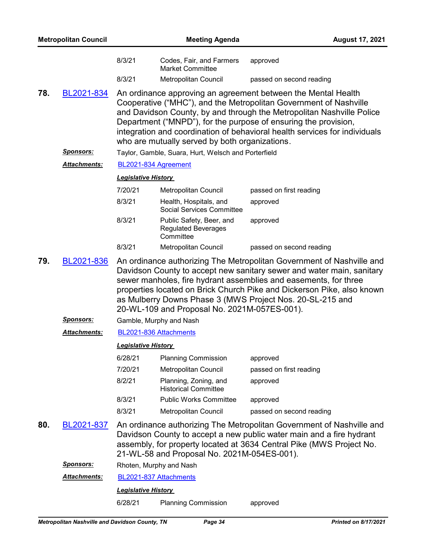| <b>Metropolitan Council</b> |                                |                                                                                                                                                                                                                                                                                                                                                                                                                                      | <b>August 17, 2021</b>                                              |                                     |  |  |
|-----------------------------|--------------------------------|--------------------------------------------------------------------------------------------------------------------------------------------------------------------------------------------------------------------------------------------------------------------------------------------------------------------------------------------------------------------------------------------------------------------------------------|---------------------------------------------------------------------|-------------------------------------|--|--|
|                             |                                | 8/3/21                                                                                                                                                                                                                                                                                                                                                                                                                               | Codes, Fair, and Farmers<br><b>Market Committee</b>                 | approved                            |  |  |
|                             |                                | 8/3/21                                                                                                                                                                                                                                                                                                                                                                                                                               | <b>Metropolitan Council</b>                                         | passed on second reading            |  |  |
| 78.                         | BL2021-834                     | An ordinance approving an agreement between the Mental Health<br>Cooperative ("MHC"), and the Metropolitan Government of Nashville<br>and Davidson County, by and through the Metropolitan Nashville Police<br>Department ("MNPD"), for the purpose of ensuring the provision,<br>integration and coordination of behavioral health services for individuals<br>who are mutually served by both organizations.                       |                                                                     |                                     |  |  |
|                             | <u>Sponsors:</u>               |                                                                                                                                                                                                                                                                                                                                                                                                                                      | Taylor, Gamble, Suara, Hurt, Welsch and Porterfield                 |                                     |  |  |
|                             | Attachments:                   |                                                                                                                                                                                                                                                                                                                                                                                                                                      | BL2021-834 Agreement                                                |                                     |  |  |
|                             |                                | <b>Legislative History</b>                                                                                                                                                                                                                                                                                                                                                                                                           |                                                                     |                                     |  |  |
|                             |                                | 7/20/21                                                                                                                                                                                                                                                                                                                                                                                                                              | Metropolitan Council                                                | passed on first reading             |  |  |
|                             |                                | 8/3/21                                                                                                                                                                                                                                                                                                                                                                                                                               | Health, Hospitals, and<br><b>Social Services Committee</b>          | approved                            |  |  |
|                             |                                | 8/3/21                                                                                                                                                                                                                                                                                                                                                                                                                               | Public Safety, Beer, and<br><b>Regulated Beverages</b><br>Committee | approved                            |  |  |
|                             |                                | 8/3/21                                                                                                                                                                                                                                                                                                                                                                                                                               | Metropolitan Council                                                | passed on second reading            |  |  |
| 79.                         | BL2021-836<br><u>Sponsors:</u> | An ordinance authorizing The Metropolitan Government of Nashville and<br>Davidson County to accept new sanitary sewer and water main, sanitary<br>sewer manholes, fire hydrant assemblies and easements, for three<br>properties located on Brick Church Pike and Dickerson Pike, also known<br>as Mulberry Downs Phase 3 (MWS Project Nos. 20-SL-215 and<br>20-WL-109 and Proposal No. 2021M-057ES-001).<br>Gamble, Murphy and Nash |                                                                     |                                     |  |  |
|                             | Attachments:                   |                                                                                                                                                                                                                                                                                                                                                                                                                                      |                                                                     |                                     |  |  |
|                             |                                | BL2021-836 Attachments<br><b>Legislative History</b>                                                                                                                                                                                                                                                                                                                                                                                 |                                                                     |                                     |  |  |
|                             |                                | 6/28/21                                                                                                                                                                                                                                                                                                                                                                                                                              |                                                                     |                                     |  |  |
|                             |                                | 7/20/21                                                                                                                                                                                                                                                                                                                                                                                                                              | <b>Planning Commission</b><br>Metropolitan Council                  | approved<br>passed on first reading |  |  |
|                             |                                | 8/2/21                                                                                                                                                                                                                                                                                                                                                                                                                               | Planning, Zoning, and<br><b>Historical Committee</b>                | approved                            |  |  |
|                             |                                | 8/3/21                                                                                                                                                                                                                                                                                                                                                                                                                               | <b>Public Works Committee</b>                                       | approved                            |  |  |
|                             |                                | 8/3/21                                                                                                                                                                                                                                                                                                                                                                                                                               | Metropolitan Council                                                | passed on second reading            |  |  |
| 80.                         | BL2021-837                     | An ordinance authorizing The Metropolitan Government of Nashville and<br>Davidson County to accept a new public water main and a fire hydrant<br>assembly, for property located at 3634 Central Pike (MWS Project No.<br>21-WL-58 and Proposal No. 2021M-054ES-001).                                                                                                                                                                 |                                                                     |                                     |  |  |
|                             | <b>Sponsors:</b>               |                                                                                                                                                                                                                                                                                                                                                                                                                                      |                                                                     |                                     |  |  |
|                             |                                |                                                                                                                                                                                                                                                                                                                                                                                                                                      |                                                                     |                                     |  |  |
|                             |                                |                                                                                                                                                                                                                                                                                                                                                                                                                                      |                                                                     |                                     |  |  |
|                             |                                | 6/28/21                                                                                                                                                                                                                                                                                                                                                                                                                              | <b>Planning Commission</b>                                          | approved                            |  |  |